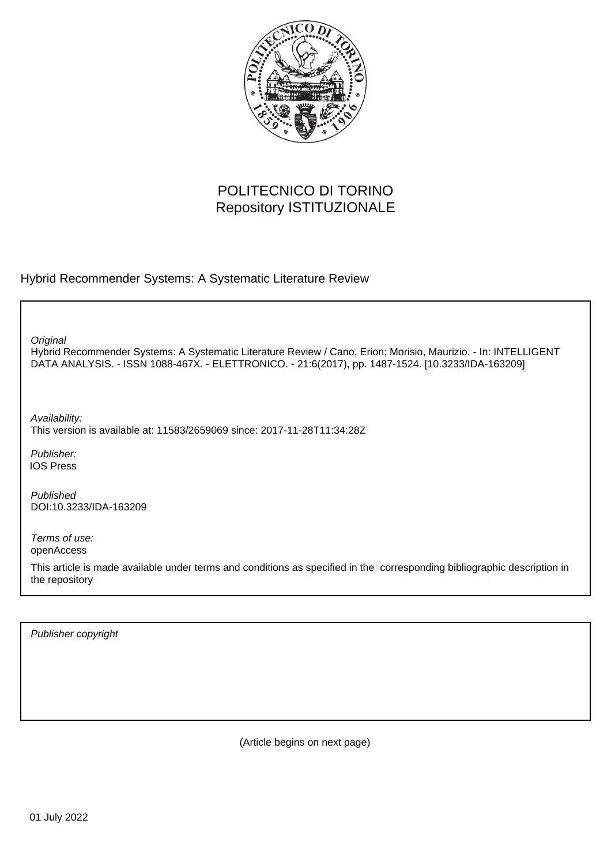

# POLITECNICO DI TORINO Repository ISTITUZIONALE

Hybrid Recommender Systems: A Systematic Literature Review

**Original** 

Hybrid Recommender Systems: A Systematic Literature Review / Cano, Erion; Morisio, Maurizio. - In: INTELLIGENT DATA ANALYSIS. - ISSN 1088-467X. - ELETTRONICO. - 21:6(2017), pp. 1487-1524. [10.3233/IDA-163209]

Availability: This version is available at: 11583/2659069 since: 2017-11-28T11:34:28Z

Publisher: IOS Press

Published DOI:10.3233/IDA-163209

Terms of use: openAccess

This article is made available under terms and conditions as specified in the corresponding bibliographic description in the repository

Publisher copyright

(Article begins on next page)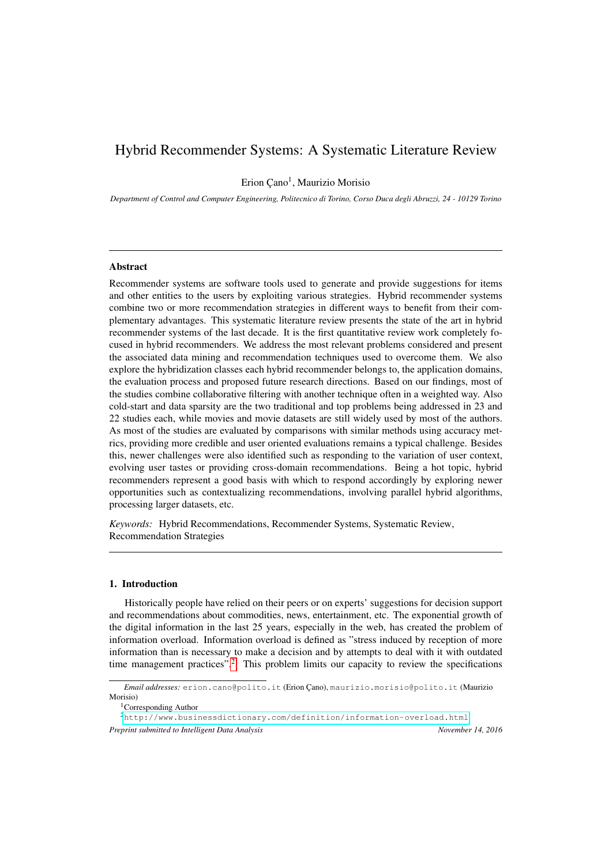# Hybrid Recommender Systems: A Systematic Literature Review

Erion Çano<sup>1</sup>, Maurizio Morisio

*Department of Control and Computer Engineering, Politecnico di Torino, Corso Duca degli Abruzzi, 24 - 10129 Torino*

#### **Abstract**

Recommender systems are software tools used to generate and provide suggestions for items and other entities to the users by exploiting various strategies. Hybrid recommender systems combine two or more recommendation strategies in different ways to benefit from their complementary advantages. This systematic literature review presents the state of the art in hybrid recommender systems of the last decade. It is the first quantitative review work completely focused in hybrid recommenders. We address the most relevant problems considered and present the associated data mining and recommendation techniques used to overcome them. We also explore the hybridization classes each hybrid recommender belongs to, the application domains, the evaluation process and proposed future research directions. Based on our findings, most of the studies combine collaborative filtering with another technique often in a weighted way. Also cold-start and data sparsity are the two traditional and top problems being addressed in 23 and 22 studies each, while movies and movie datasets are still widely used by most of the authors. As most of the studies are evaluated by comparisons with similar methods using accuracy metrics, providing more credible and user oriented evaluations remains a typical challenge. Besides this, newer challenges were also identified such as responding to the variation of user context, evolving user tastes or providing cross-domain recommendations. Being a hot topic, hybrid recommenders represent a good basis with which to respond accordingly by exploring newer opportunities such as contextualizing recommendations, involving parallel hybrid algorithms, processing larger datasets, etc.

*Keywords:* Hybrid Recommendations, Recommender Systems, Systematic Review, Recommendation Strategies

## 1. Introduction

Historically people have relied on their peers or on experts' suggestions for decision support and recommendations about commodities, news, entertainment, etc. The exponential growth of the digital information in the last 25 years, especially in the web, has created the problem of information overload. Information overload is defined as "stress induced by reception of more information than is necessary to make a decision and by attempts to deal with it with outdated time management practices".2 This problem limits our capacity to review the specifications

*Preprint submitted to Intelligent Data Analysis November 14, 2016*

*Email addresses:* erion.cano@polito.it (Erion Cano), maurizio.morisio@polito.it (Maurizio Morisio)

<sup>1</sup>Corresponding Author

<sup>2</sup><http://www.businessdictionary.com/definition/information-overload.html>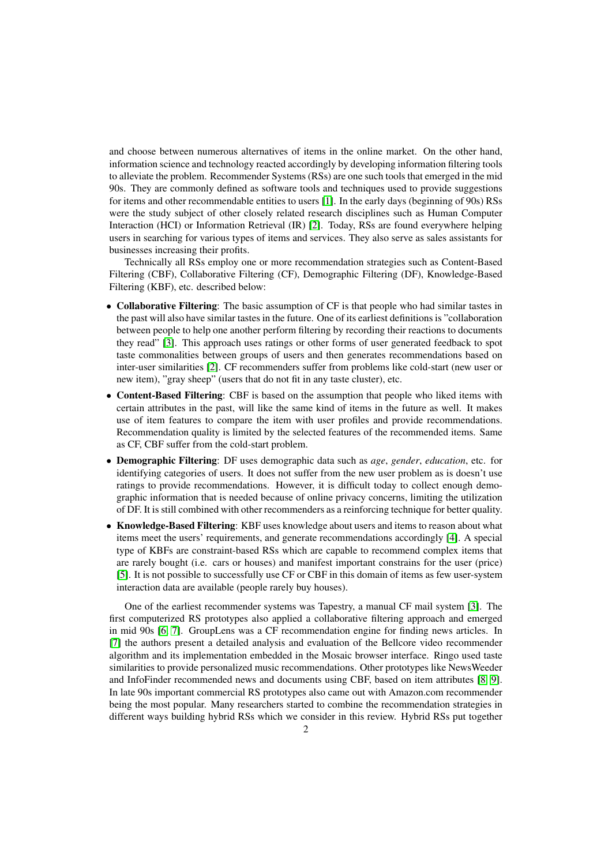and choose between numerous alternatives of items in the online market. On the other hand, information science and technology reacted accordingly by developing information filtering tools to alleviate the problem. Recommender Systems (RSs) are one such tools that emerged in the mid 90s. They are commonly defined as software tools and techniques used to provide suggestions for items and other recommendable entities to users [1]. In the early days (beginning of 90s) RSs were the study subject of other closely related research disciplines such as Human Computer Interaction (HCI) or Information Retrieval (IR) [2]. Today, RSs are found everywhere helping users in searching for various types of items and services. They also serve as sales assistants for businesses increasing their profits.

Technically all RSs employ one or more recommendation strategies such as Content-Based Filtering (CBF), Collaborative Filtering (CF), Demographic Filtering (DF), Knowledge-Based Filtering (KBF), etc. described below:

- Collaborative Filtering: The basic assumption of CF is that people who had similar tastes in the past will also have similar tastes in the future. One of its earliest definitions is "collaboration between people to help one another perform filtering by recording their reactions to documents they read" [3]. This approach uses ratings or other forms of user generated feedback to spot taste commonalities between groups of users and then generates recommendations based on inter-user similarities [2]. CF recommenders suffer from problems like cold-start (new user or new item), "gray sheep" (users that do not fit in any taste cluster), etc.
- Content-Based Filtering: CBF is based on the assumption that people who liked items with certain attributes in the past, will like the same kind of items in the future as well. It makes use of item features to compare the item with user profiles and provide recommendations. Recommendation quality is limited by the selected features of the recommended items. Same as CF, CBF suffer from the cold-start problem.
- Demographic Filtering: DF uses demographic data such as *age*, *gender*, *education*, etc. for identifying categories of users. It does not suffer from the new user problem as is doesn't use ratings to provide recommendations. However, it is difficult today to collect enough demographic information that is needed because of online privacy concerns, limiting the utilization of DF. It is still combined with other recommenders as a reinforcing technique for better quality.
- Knowledge-Based Filtering: KBF uses knowledge about users and items to reason about what items meet the users' requirements, and generate recommendations accordingly [4]. A special type of KBFs are constraint-based RSs which are capable to recommend complex items that are rarely bought (i.e. cars or houses) and manifest important constrains for the user (price) [5]. It is not possible to successfully use CF or CBF in this domain of items as few user-system interaction data are available (people rarely buy houses).

One of the earliest recommender systems was Tapestry, a manual CF mail system [3]. The first computerized RS prototypes also applied a collaborative filtering approach and emerged in mid 90s [6, 7]. GroupLens was a CF recommendation engine for finding news articles. In [7] the authors present a detailed analysis and evaluation of the Bellcore video recommender algorithm and its implementation embedded in the Mosaic browser interface. Ringo used taste similarities to provide personalized music recommendations. Other prototypes like NewsWeeder and InfoFinder recommended news and documents using CBF, based on item attributes [8, 9]. In late 90s important commercial RS prototypes also came out with Amazon.com recommender being the most popular. Many researchers started to combine the recommendation strategies in different ways building hybrid RSs which we consider in this review. Hybrid RSs put together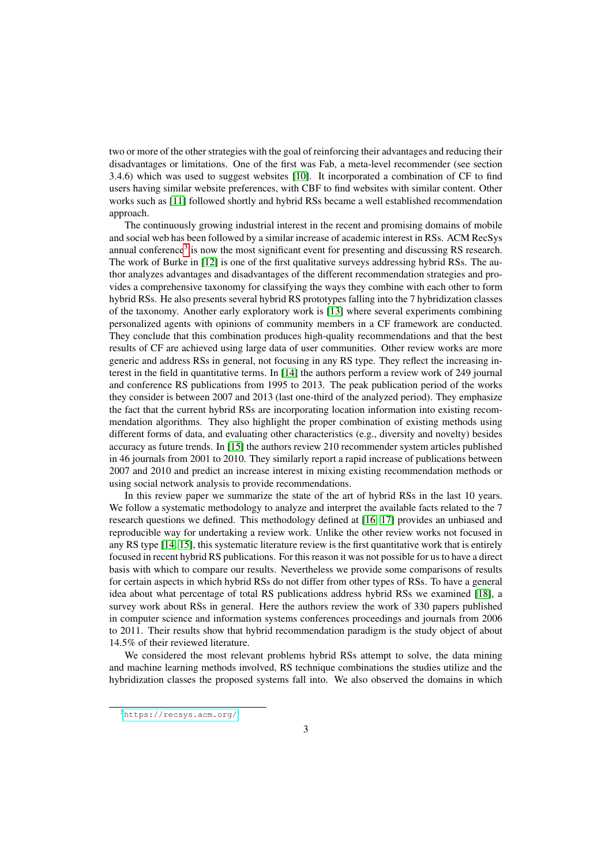two or more of the other strategies with the goal of reinforcing their advantages and reducing their disadvantages or limitations. One of the first was Fab, a meta-level recommender (see section 3.4.6) which was used to suggest websites [10]. It incorporated a combination of CF to find users having similar website preferences, with CBF to find websites with similar content. Other works such as [11] followed shortly and hybrid RSs became a well established recommendation approach.

The continuously growing industrial interest in the recent and promising domains of mobile and social web has been followed by a similar increase of academic interest in RSs. ACM RecSys annual conference<sup>3</sup> is now the most significant event for presenting and discussing RS research. The work of Burke in [12] is one of the first qualitative surveys addressing hybrid RSs. The author analyzes advantages and disadvantages of the different recommendation strategies and provides a comprehensive taxonomy for classifying the ways they combine with each other to form hybrid RSs. He also presents several hybrid RS prototypes falling into the 7 hybridization classes of the taxonomy. Another early exploratory work is [13] where several experiments combining personalized agents with opinions of community members in a CF framework are conducted. They conclude that this combination produces high-quality recommendations and that the best results of CF are achieved using large data of user communities. Other review works are more generic and address RSs in general, not focusing in any RS type. They reflect the increasing interest in the field in quantitative terms. In [14] the authors perform a review work of 249 journal and conference RS publications from 1995 to 2013. The peak publication period of the works they consider is between 2007 and 2013 (last one-third of the analyzed period). They emphasize the fact that the current hybrid RSs are incorporating location information into existing recommendation algorithms. They also highlight the proper combination of existing methods using different forms of data, and evaluating other characteristics (e.g., diversity and novelty) besides accuracy as future trends. In [15] the authors review 210 recommender system articles published in 46 journals from 2001 to 2010. They similarly report a rapid increase of publications between 2007 and 2010 and predict an increase interest in mixing existing recommendation methods or using social network analysis to provide recommendations.

In this review paper we summarize the state of the art of hybrid RSs in the last 10 years. We follow a systematic methodology to analyze and interpret the available facts related to the 7 research questions we defined. This methodology defined at [16, 17] provides an unbiased and reproducible way for undertaking a review work. Unlike the other review works not focused in any RS type [14, 15], this systematic literature review is the first quantitative work that is entirely focused in recent hybrid RS publications. For this reason it was not possible for us to have a direct basis with which to compare our results. Nevertheless we provide some comparisons of results for certain aspects in which hybrid RSs do not differ from other types of RSs. To have a general idea about what percentage of total RS publications address hybrid RSs we examined [18], a survey work about RSs in general. Here the authors review the work of 330 papers published in computer science and information systems conferences proceedings and journals from 2006 to 2011. Their results show that hybrid recommendation paradigm is the study object of about 14.5% of their reviewed literature.

We considered the most relevant problems hybrid RSs attempt to solve, the data mining and machine learning methods involved, RS technique combinations the studies utilize and the hybridization classes the proposed systems fall into. We also observed the domains in which

<sup>3</sup><https://recsys.acm.org/>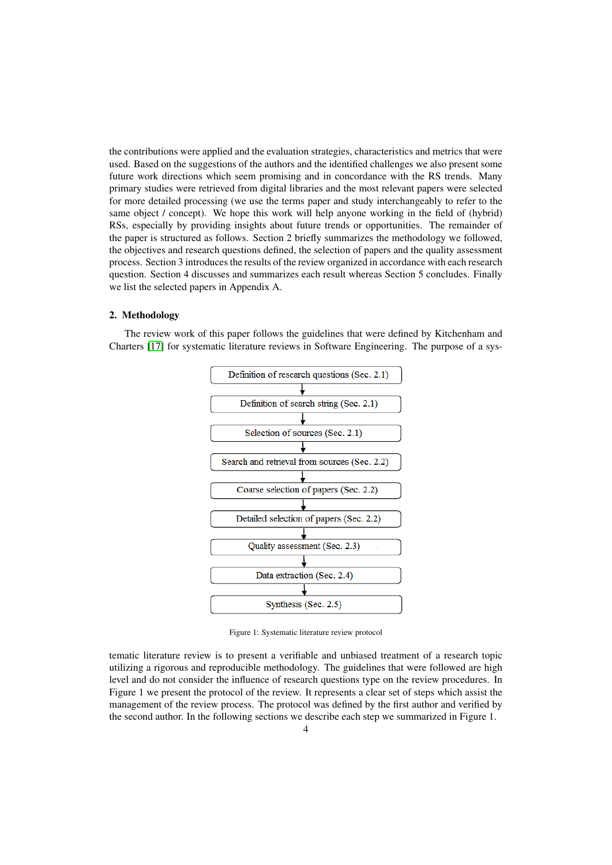the contributions were applied and the evaluation strategies, characteristics and metrics that were used. Based on the suggestions of the authors and the identified challenges we also present some future work directions which seem promising and in concordance with the RS trends. Many primary studies were retrieved from digital libraries and the most relevant papers were selected for more detailed processing (we use the terms paper and study interchangeably to refer to the same object / concept). We hope this work will help anyone working in the field of (hybrid) RSs, especially by providing insights about future trends or opportunities. The remainder of the paper is structured as follows. Section 2 briefly summarizes the methodology we followed, the objectives and research questions defined, the selection of papers and the quality assessment process. Section 3 introduces the results of the review organized in accordance with each research question. Section 4 discusses and summarizes each result whereas Section 5 concludes. Finally we list the selected papers in Appendix A.

#### 2. Methodology

The review work of this paper follows the guidelines that were defined by Kitchenham and Charters [17] for systematic literature reviews in Software Engineering. The purpose of a sys-



Figure 1: Systematic literature review protocol

tematic literature review is to present a verifiable and unbiased treatment of a research topic utilizing a rigorous and reproducible methodology. The guidelines that were followed are high level and do not consider the influence of research questions type on the review procedures. In Figure 1 we present the protocol of the review. It represents a clear set of steps which assist the management of the review process. The protocol was defined by the first author and verified by the second author. In the following sections we describe each step we summarized in Figure 1.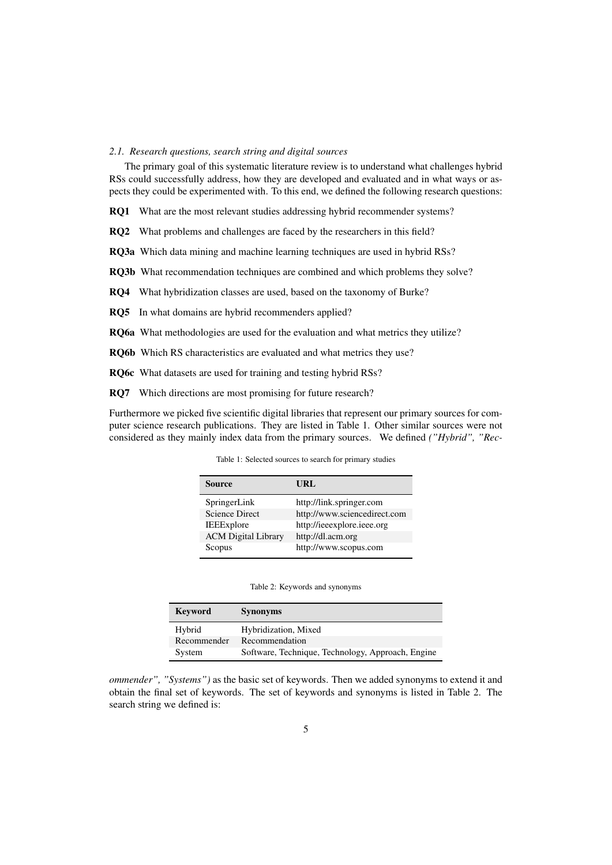## *2.1. Research questions, search string and digital sources*

The primary goal of this systematic literature review is to understand what challenges hybrid RSs could successfully address, how they are developed and evaluated and in what ways or aspects they could be experimented with. To this end, we defined the following research questions:

RQ1 What are the most relevant studies addressing hybrid recommender systems?

RQ2 What problems and challenges are faced by the researchers in this field?

RQ3a Which data mining and machine learning techniques are used in hybrid RSs?

RQ3b What recommendation techniques are combined and which problems they solve?

RQ4 What hybridization classes are used, based on the taxonomy of Burke?

RQ5 In what domains are hybrid recommenders applied?

RQ6a What methodologies are used for the evaluation and what metrics they utilize?

RQ6b Which RS characteristics are evaluated and what metrics they use?

- RQ6c What datasets are used for training and testing hybrid RSs?
- RQ7 Which directions are most promising for future research?

Furthermore we picked five scientific digital libraries that represent our primary sources for computer science research publications. They are listed in Table 1. Other similar sources were not considered as they mainly index data from the primary sources. We defined *("Hybrid", "Rec-*

| <b>Source</b>              | URL                          |
|----------------------------|------------------------------|
| SpringerLink               | http://link.springer.com     |
| Science Direct             | http://www.sciencedirect.com |
| <b>IEEExplore</b>          | http://ieeexplore.ieee.org   |
| <b>ACM</b> Digital Library | http://dl.acm.org            |
| Scopus                     | http://www.scopus.com        |

Table 1: Selected sources to search for primary studies

| <b>Keyword</b> | <b>Synonyms</b>                                   |
|----------------|---------------------------------------------------|
| Hybrid         | Hybridization, Mixed                              |
| Recommender    | Recommendation                                    |
| System         | Software, Technique, Technology, Approach, Engine |

*ommender", "Systems"*) as the basic set of keywords. Then we added synonyms to extend it and obtain the final set of keywords. The set of keywords and synonyms is listed in Table 2. The search string we defined is: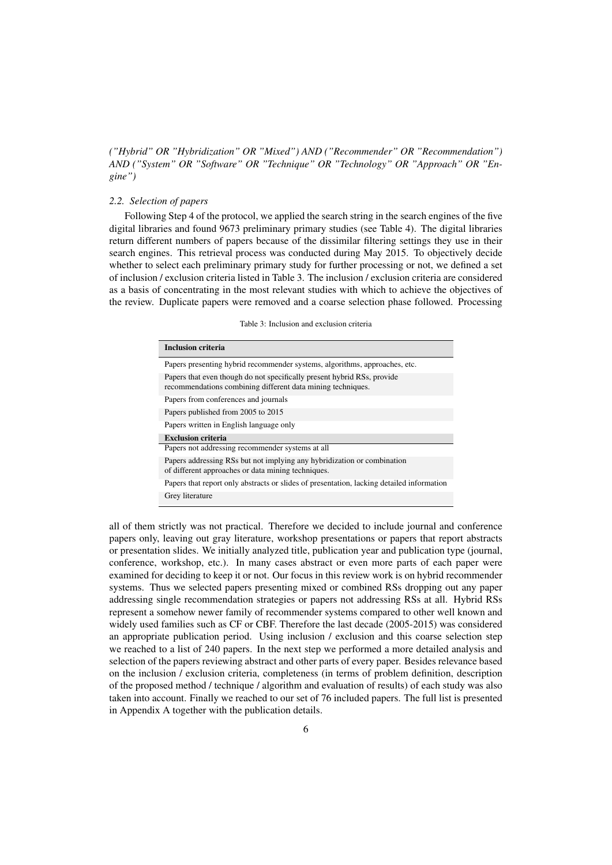*("Hybrid" OR "Hybridization" OR "Mixed") AND ("Recommender" OR "Recommendation") AND ("System" OR "Software" OR "Technique" OR "Technology" OR "Approach" OR "Engine")*

# *2.2. Selection of papers*

Following Step 4 of the protocol, we applied the search string in the search engines of the five digital libraries and found 9673 preliminary primary studies (see Table 4). The digital libraries return different numbers of papers because of the dissimilar filtering settings they use in their search engines. This retrieval process was conducted during May 2015. To objectively decide whether to select each preliminary primary study for further processing or not, we defined a set of inclusion / exclusion criteria listed in Table 3. The inclusion / exclusion criteria are considered as a basis of concentrating in the most relevant studies with which to achieve the objectives of the review. Duplicate papers were removed and a coarse selection phase followed. Processing

| <b>Inclusion criteria</b>                                                                                                              |  |  |  |
|----------------------------------------------------------------------------------------------------------------------------------------|--|--|--|
| Papers presenting hybrid recommender systems, algorithms, approaches, etc.                                                             |  |  |  |
| Papers that even though do not specifically present hybrid RSs, provide<br>recommendations combining different data mining techniques. |  |  |  |
| Papers from conferences and journals                                                                                                   |  |  |  |
| Papers published from 2005 to 2015                                                                                                     |  |  |  |
| Papers written in English language only                                                                                                |  |  |  |
| <b>Exclusion criteria</b>                                                                                                              |  |  |  |
| Papers not addressing recommender systems at all                                                                                       |  |  |  |
| Papers addressing RSs but not implying any hybridization or combination<br>of different approaches or data mining techniques.          |  |  |  |
| Papers that report only abstracts or slides of presentation, lacking detailed information                                              |  |  |  |
| Grey literature                                                                                                                        |  |  |  |

all of them strictly was not practical. Therefore we decided to include journal and conference papers only, leaving out gray literature, workshop presentations or papers that report abstracts or presentation slides. We initially analyzed title, publication year and publication type (journal, conference, workshop, etc.). In many cases abstract or even more parts of each paper were examined for deciding to keep it or not. Our focus in this review work is on hybrid recommender systems. Thus we selected papers presenting mixed or combined RSs dropping out any paper addressing single recommendation strategies or papers not addressing RSs at all. Hybrid RSs represent a somehow newer family of recommender systems compared to other well known and widely used families such as CF or CBF. Therefore the last decade (2005-2015) was considered an appropriate publication period. Using inclusion / exclusion and this coarse selection step we reached to a list of 240 papers. In the next step we performed a more detailed analysis and selection of the papers reviewing abstract and other parts of every paper. Besides relevance based on the inclusion / exclusion criteria, completeness (in terms of problem definition, description of the proposed method / technique / algorithm and evaluation of results) of each study was also taken into account. Finally we reached to our set of 76 included papers. The full list is presented in Appendix A together with the publication details.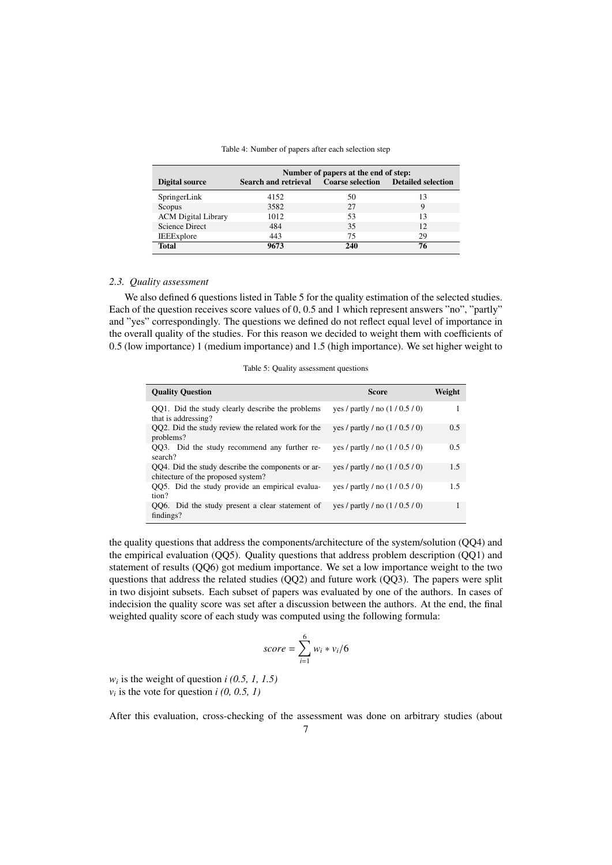| Table 4: Number of papers after each selection step |  |  |
|-----------------------------------------------------|--|--|
|-----------------------------------------------------|--|--|

|                            | Number of papers at the end of step:                     |     |    |  |  |
|----------------------------|----------------------------------------------------------|-----|----|--|--|
| <b>Digital source</b>      | Search and retrieval Coarse selection Detailed selection |     |    |  |  |
| SpringerLink               | 4152                                                     | 50  | 13 |  |  |
| Scopus                     | 3582                                                     | 27  | 9  |  |  |
| <b>ACM</b> Digital Library | 1012                                                     | 53  | 13 |  |  |
| <b>Science Direct</b>      | 484                                                      | 35  | 12 |  |  |
| <b>IEEExplore</b>          | 443                                                      | 75  | 29 |  |  |
| <b>Total</b>               | 9673                                                     | 240 | 76 |  |  |

#### *2.3. Quality assessment*

We also defined 6 questions listed in Table 5 for the quality estimation of the selected studies. Each of the question receives score values of 0, 0.5 and 1 which represent answers "no", "partly" and "yes" correspondingly. The questions we defined do not reflect equal level of importance in the overall quality of the studies. For this reason we decided to weight them with coefficients of 0.5 (low importance) 1 (medium importance) and 1.5 (high importance). We set higher weight to

Table 5: Quality assessment questions

| <b>Quality Question</b>                                                                 | Score                         | Weight |
|-----------------------------------------------------------------------------------------|-------------------------------|--------|
| QQ1. Did the study clearly describe the problems<br>that is addressing?                 | yes / partly / no $(1/0.5/0)$ |        |
| QQ2. Did the study review the related work for the<br>problems?                         | yes / partly / no $(1/0.5/0)$ | 0.5    |
| QQ3. Did the study recommend any further re-<br>search?                                 | yes / partly / no $(1/0.5/0)$ | 0.5    |
| QQ4. Did the study describe the components or ar-<br>chitecture of the proposed system? | yes / partly / no $(1/0.5/0)$ | 1.5    |
| QQ5. Did the study provide an empirical evalua-<br>tion?                                | yes / partly / no $(1/0.5/0)$ | 1.5    |
| QQ6. Did the study present a clear statement of<br>findings?                            | yes / partly / no $(1/0.5/0)$ |        |

the quality questions that address the components/architecture of the system/solution (QQ4) and the empirical evaluation (QQ5). Quality questions that address problem description (QQ1) and statement of results (QQ6) got medium importance. We set a low importance weight to the two questions that address the related studies (QQ2) and future work (QQ3). The papers were split in two disjoint subsets. Each subset of papers was evaluated by one of the authors. In cases of indecision the quality score was set after a discussion between the authors. At the end, the final weighted quality score of each study was computed using the following formula:

$$
score = \sum_{i=1}^{6} w_i * v_i / 6
$$

 $w_i$  is the weight of question *i* (0.5, 1, 1.5)  $v_i$  is the vote for question *i* (0, 0.5, 1)

After this evaluation, cross-checking of the assessment was done on arbitrary studies (about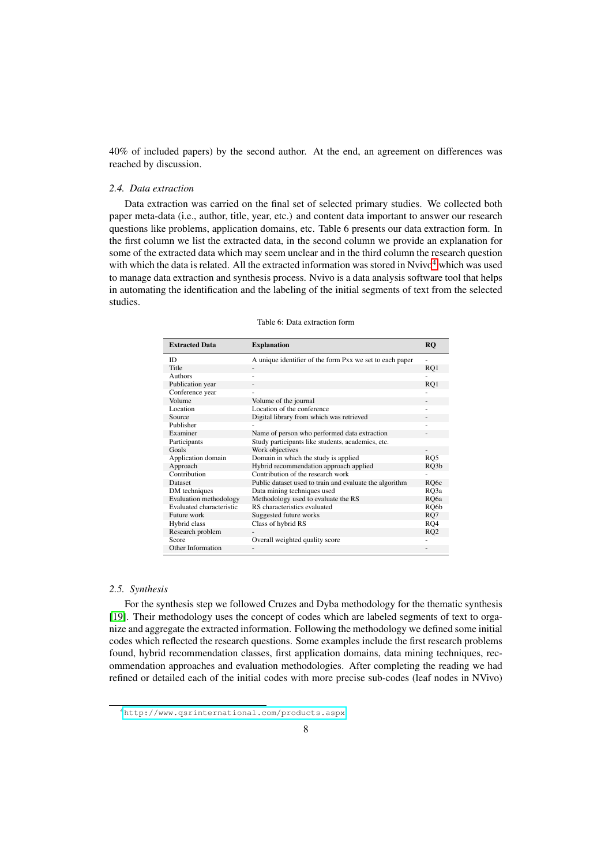40% of included papers) by the second author. At the end, an agreement on differences was reached by discussion.

# *2.4. Data extraction*

Data extraction was carried on the final set of selected primary studies. We collected both paper meta-data (i.e., author, title, year, etc.) and content data important to answer our research questions like problems, application domains, etc. Table 6 presents our data extraction form. In the first column we list the extracted data, in the second column we provide an explanation for some of the extracted data which may seem unclear and in the third column the research question with which the data is related. All the extracted information was stored in Nvivo $4$  which was used to manage data extraction and synthesis process. Nvivo is a data analysis software tool that helps in automating the identification and the labeling of the initial segments of text from the selected studies.

| <b>Explanation</b>                                       | <b>RO</b>         |
|----------------------------------------------------------|-------------------|
| A unique identifier of the form Pxx we set to each paper |                   |
| -                                                        | RQ1               |
|                                                          |                   |
|                                                          | RO1               |
|                                                          |                   |
| Volume of the journal                                    |                   |
| Location of the conference                               | ٠                 |
| Digital library from which was retrieved                 |                   |
|                                                          |                   |
| Name of person who performed data extraction             |                   |
| Study participants like students, academics, etc.        |                   |
| Work objectives                                          |                   |
| Domain in which the study is applied                     | RO <sub>5</sub>   |
| Hybrid recommendation approach applied                   | RQ3b              |
| Contribution of the research work                        |                   |
| Public dataset used to train and evaluate the algorithm  | RQ <sub>6</sub> c |
| Data mining techniques used                              | RO3a              |
| Methodology used to evaluate the RS                      | RO <sub>6a</sub>  |
| RS characteristics evaluated                             | RO <sub>6</sub> b |
| Suggested future works                                   | RQ7               |
| Class of hybrid RS                                       | RQ4               |
|                                                          | RQ <sub>2</sub>   |
| Overall weighted quality score                           |                   |
|                                                          |                   |
|                                                          |                   |

| Table 6: Data extraction form |
|-------------------------------|
|-------------------------------|

# *2.5. Synthesis*

For the synthesis step we followed Cruzes and Dyba methodology for the thematic synthesis [19]. Their methodology uses the concept of codes which are labeled segments of text to organize and aggregate the extracted information. Following the methodology we defined some initial codes which reflected the research questions. Some examples include the first research problems found, hybrid recommendation classes, first application domains, data mining techniques, recommendation approaches and evaluation methodologies. After completing the reading we had refined or detailed each of the initial codes with more precise sub-codes (leaf nodes in NVivo)

<sup>4</sup><http://www.qsrinternational.com/products.aspx>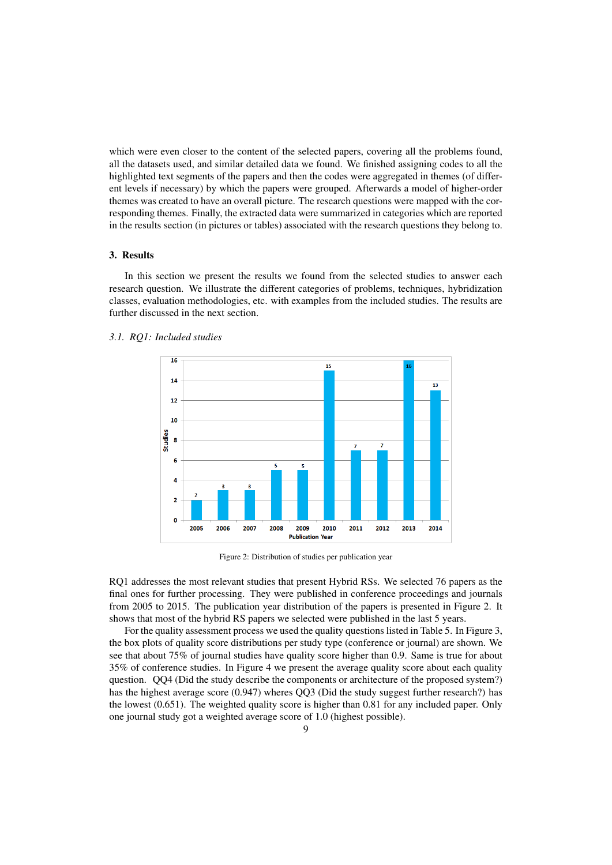which were even closer to the content of the selected papers, covering all the problems found, all the datasets used, and similar detailed data we found. We finished assigning codes to all the highlighted text segments of the papers and then the codes were aggregated in themes (of different levels if necessary) by which the papers were grouped. Afterwards a model of higher-order themes was created to have an overall picture. The research questions were mapped with the corresponding themes. Finally, the extracted data were summarized in categories which are reported in the results section (in pictures or tables) associated with the research questions they belong to.

## 3. Results

In this section we present the results we found from the selected studies to answer each research question. We illustrate the different categories of problems, techniques, hybridization classes, evaluation methodologies, etc. with examples from the included studies. The results are further discussed in the next section.

## *3.1. RQ1: Included studies*



Figure 2: Distribution of studies per publication year

RQ1 addresses the most relevant studies that present Hybrid RSs. We selected 76 papers as the final ones for further processing. They were published in conference proceedings and journals from 2005 to 2015. The publication year distribution of the papers is presented in Figure 2. It shows that most of the hybrid RS papers we selected were published in the last 5 years.

For the quality assessment process we used the quality questions listed in Table 5. In Figure 3, the box plots of quality score distributions per study type (conference or journal) are shown. We see that about 75% of journal studies have quality score higher than 0.9. Same is true for about 35% of conference studies. In Figure 4 we present the average quality score about each quality question. QQ4 (Did the study describe the components or architecture of the proposed system?) has the highest average score (0.947) wheres QQ3 (Did the study suggest further research?) has the lowest (0.651). The weighted quality score is higher than 0.81 for any included paper. Only one journal study got a weighted average score of 1.0 (highest possible).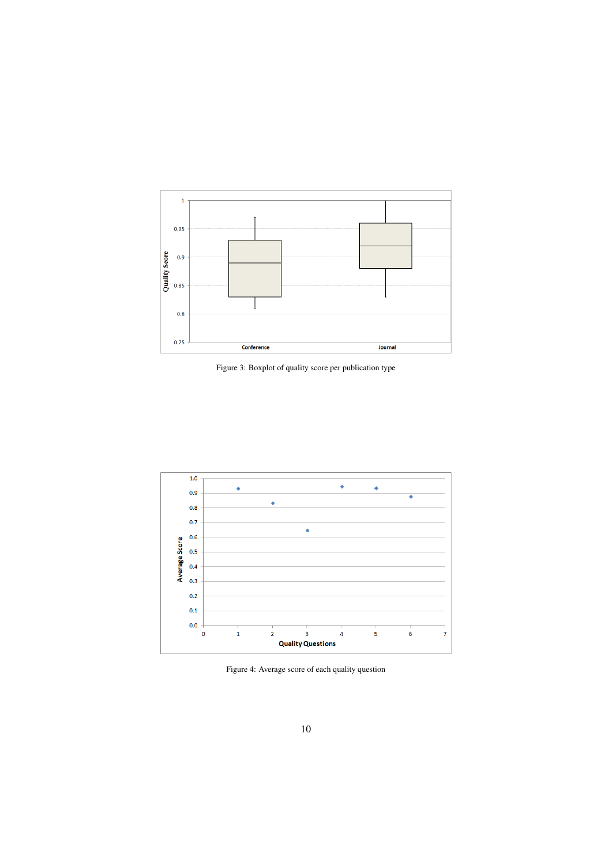

Figure 3: Boxplot of quality score per publication type



Figure 4: Average score of each quality question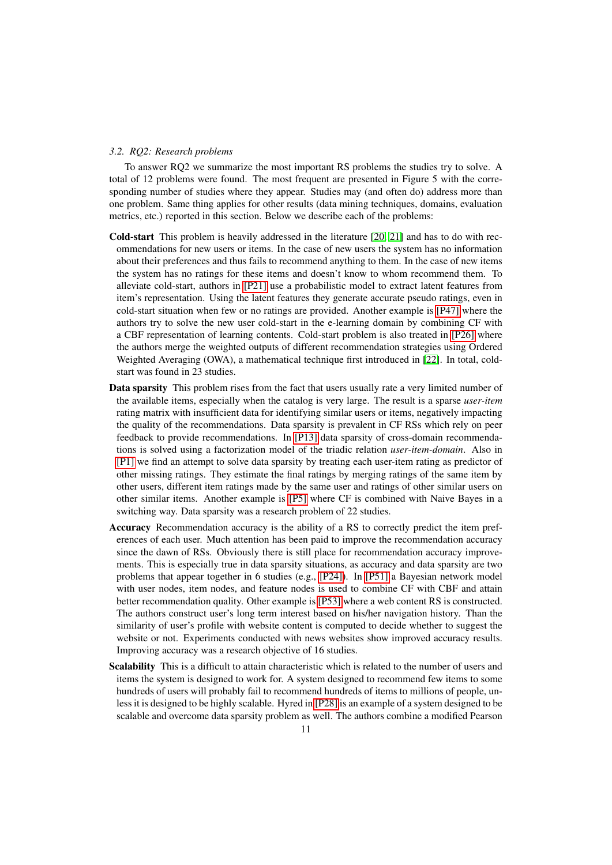## *3.2. RQ2: Research problems*

To answer RQ2 we summarize the most important RS problems the studies try to solve. A total of 12 problems were found. The most frequent are presented in Figure 5 with the corresponding number of studies where they appear. Studies may (and often do) address more than one problem. Same thing applies for other results (data mining techniques, domains, evaluation metrics, etc.) reported in this section. Below we describe each of the problems:

- Cold-start This problem is heavily addressed in the literature [20, 21] and has to do with recommendations for new users or items. In the case of new users the system has no information about their preferences and thus fails to recommend anything to them. In the case of new items the system has no ratings for these items and doesn't know to whom recommend them. To alleviate cold-start, authors in [P21] use a probabilistic model to extract latent features from item's representation. Using the latent features they generate accurate pseudo ratings, even in cold-start situation when few or no ratings are provided. Another example is [P47] where the authors try to solve the new user cold-start in the e-learning domain by combining CF with a CBF representation of learning contents. Cold-start problem is also treated in [P26] where the authors merge the weighted outputs of different recommendation strategies using Ordered Weighted Averaging (OWA), a mathematical technique first introduced in [22]. In total, coldstart was found in 23 studies.
- Data sparsity This problem rises from the fact that users usually rate a very limited number of the available items, especially when the catalog is very large. The result is a sparse *user-item* rating matrix with insufficient data for identifying similar users or items, negatively impacting the quality of the recommendations. Data sparsity is prevalent in CF RSs which rely on peer feedback to provide recommendations. In [P13] data sparsity of cross-domain recommendations is solved using a factorization model of the triadic relation *user-item-domain*. Also in [P1] we find an attempt to solve data sparsity by treating each user-item rating as predictor of other missing ratings. They estimate the final ratings by merging ratings of the same item by other users, different item ratings made by the same user and ratings of other similar users on other similar items. Another example is [P5] where CF is combined with Naive Bayes in a switching way. Data sparsity was a research problem of 22 studies.
- Accuracy Recommendation accuracy is the ability of a RS to correctly predict the item preferences of each user. Much attention has been paid to improve the recommendation accuracy since the dawn of RSs. Obviously there is still place for recommendation accuracy improvements. This is especially true in data sparsity situations, as accuracy and data sparsity are two problems that appear together in 6 studies (e.g., [P24]). In [P51] a Bayesian network model with user nodes, item nodes, and feature nodes is used to combine CF with CBF and attain better recommendation quality. Other example is [P53] where a web content RS is constructed. The authors construct user's long term interest based on his/her navigation history. Than the similarity of user's profile with website content is computed to decide whether to suggest the website or not. Experiments conducted with news websites show improved accuracy results. Improving accuracy was a research objective of 16 studies.
- Scalability This is a difficult to attain characteristic which is related to the number of users and items the system is designed to work for. A system designed to recommend few items to some hundreds of users will probably fail to recommend hundreds of items to millions of people, unless it is designed to be highly scalable. Hyred in [P28] is an example of a system designed to be scalable and overcome data sparsity problem as well. The authors combine a modified Pearson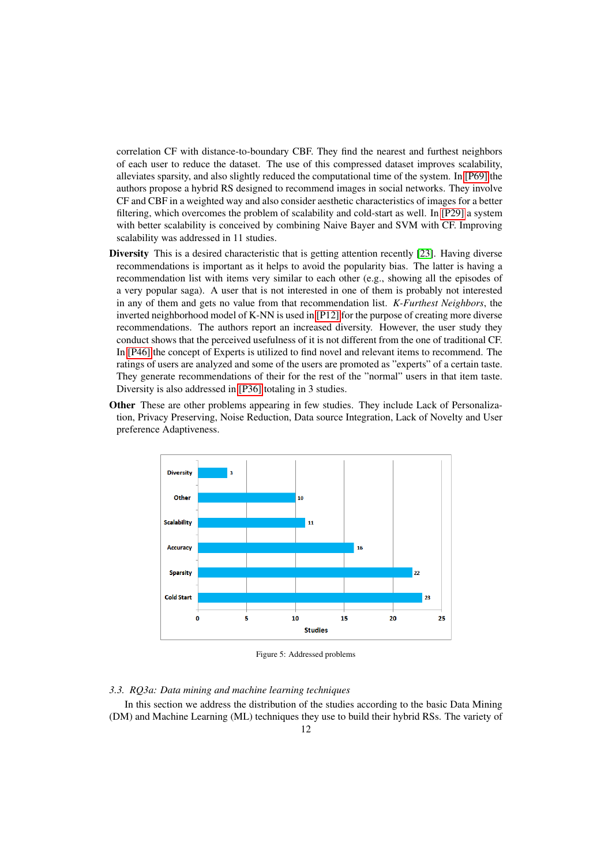correlation CF with distance-to-boundary CBF. They find the nearest and furthest neighbors of each user to reduce the dataset. The use of this compressed dataset improves scalability, alleviates sparsity, and also slightly reduced the computational time of the system. In [P69] the authors propose a hybrid RS designed to recommend images in social networks. They involve CF and CBF in a weighted way and also consider aesthetic characteristics of images for a better filtering, which overcomes the problem of scalability and cold-start as well. In [P29] a system with better scalability is conceived by combining Naive Bayer and SVM with CF. Improving scalability was addressed in 11 studies.

- Diversity This is a desired characteristic that is getting attention recently [23]. Having diverse recommendations is important as it helps to avoid the popularity bias. The latter is having a recommendation list with items very similar to each other (e.g., showing all the episodes of a very popular saga). A user that is not interested in one of them is probably not interested in any of them and gets no value from that recommendation list. *K-Furthest Neighbors*, the inverted neighborhood model of K-NN is used in [P12] for the purpose of creating more diverse recommendations. The authors report an increased diversity. However, the user study they conduct shows that the perceived usefulness of it is not different from the one of traditional CF. In [P46] the concept of Experts is utilized to find novel and relevant items to recommend. The ratings of users are analyzed and some of the users are promoted as "experts" of a certain taste. They generate recommendations of their for the rest of the "normal" users in that item taste. Diversity is also addressed in [P36] totaling in 3 studies.
- Other These are other problems appearing in few studies. They include Lack of Personalization, Privacy Preserving, Noise Reduction, Data source Integration, Lack of Novelty and User preference Adaptiveness.



Figure 5: Addressed problems

# *3.3. RQ3a: Data mining and machine learning techniques*

In this section we address the distribution of the studies according to the basic Data Mining (DM) and Machine Learning (ML) techniques they use to build their hybrid RSs. The variety of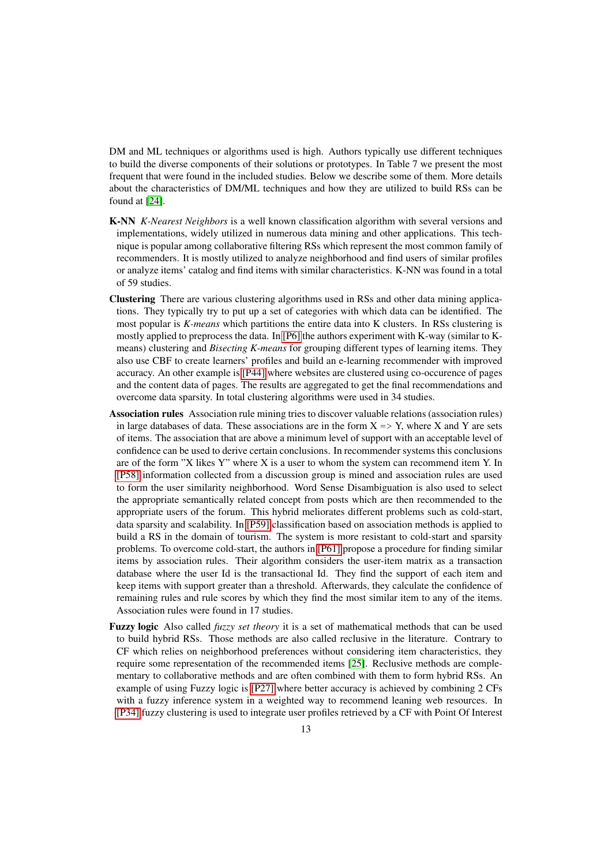DM and ML techniques or algorithms used is high. Authors typically use different techniques to build the diverse components of their solutions or prototypes. In Table 7 we present the most frequent that were found in the included studies. Below we describe some of them. More details about the characteristics of DM/ML techniques and how they are utilized to build RSs can be found at [24].

- K-NN *K-Nearest Neighbors* is a well known classification algorithm with several versions and implementations, widely utilized in numerous data mining and other applications. This technique is popular among collaborative filtering RSs which represent the most common family of recommenders. It is mostly utilized to analyze neighborhood and find users of similar profiles or analyze items' catalog and find items with similar characteristics. K-NN was found in a total of 59 studies.
- Clustering There are various clustering algorithms used in RSs and other data mining applications. They typically try to put up a set of categories with which data can be identified. The most popular is *K-means* which partitions the entire data into K clusters. In RSs clustering is mostly applied to preprocess the data. In [P6] the authors experiment with K-way (similar to Kmeans) clustering and *Bisecting K-means* for grouping different types of learning items. They also use CBF to create learners' profiles and build an e-learning recommender with improved accuracy. An other example is [P44] where websites are clustered using co-occurence of pages and the content data of pages. The results are aggregated to get the final recommendations and overcome data sparsity. In total clustering algorithms were used in 34 studies.
- Association rules Association rule mining tries to discover valuable relations (association rules) in large databases of data. These associations are in the form  $X \Rightarrow Y$ , where X and Y are sets of items. The association that are above a minimum level of support with an acceptable level of confidence can be used to derive certain conclusions. In recommender systems this conclusions are of the form "X likes Y" where X is a user to whom the system can recommend item Y. In [P58] information collected from a discussion group is mined and association rules are used to form the user similarity neighborhood. Word Sense Disambiguation is also used to select the appropriate semantically related concept from posts which are then recommended to the appropriate users of the forum. This hybrid meliorates different problems such as cold-start, data sparsity and scalability. In [P59] classification based on association methods is applied to build a RS in the domain of tourism. The system is more resistant to cold-start and sparsity problems. To overcome cold-start, the authors in [P61] propose a procedure for finding similar items by association rules. Their algorithm considers the user-item matrix as a transaction database where the user Id is the transactional Id. They find the support of each item and keep items with support greater than a threshold. Afterwards, they calculate the confidence of remaining rules and rule scores by which they find the most similar item to any of the items. Association rules were found in 17 studies.
- Fuzzy logic Also called *fuzzy set theory* it is a set of mathematical methods that can be used to build hybrid RSs. Those methods are also called reclusive in the literature. Contrary to CF which relies on neighborhood preferences without considering item characteristics, they require some representation of the recommended items [25]. Reclusive methods are complementary to collaborative methods and are often combined with them to form hybrid RSs. An example of using Fuzzy logic is [P27] where better accuracy is achieved by combining 2 CFs with a fuzzy inference system in a weighted way to recommend leaning web resources. In [P34] fuzzy clustering is used to integrate user profiles retrieved by a CF with Point Of Interest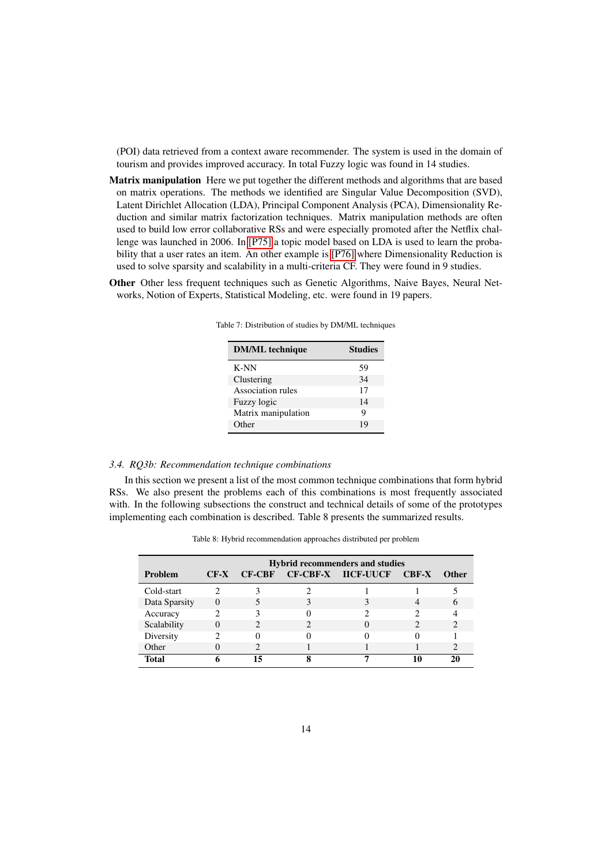(POI) data retrieved from a context aware recommender. The system is used in the domain of tourism and provides improved accuracy. In total Fuzzy logic was found in 14 studies.

- Matrix manipulation Here we put together the different methods and algorithms that are based on matrix operations. The methods we identified are Singular Value Decomposition (SVD), Latent Dirichlet Allocation (LDA), Principal Component Analysis (PCA), Dimensionality Reduction and similar matrix factorization techniques. Matrix manipulation methods are often used to build low error collaborative RSs and were especially promoted after the Netflix challenge was launched in 2006. In [P75] a topic model based on LDA is used to learn the probability that a user rates an item. An other example is [P76] where Dimensionality Reduction is used to solve sparsity and scalability in a multi-criteria CF. They were found in 9 studies.
- Other Other less frequent techniques such as Genetic Algorithms, Naive Bayes, Neural Networks, Notion of Experts, Statistical Modeling, etc. were found in 19 papers.

| <b>DM/ML</b> technique | <b>Studies</b> |
|------------------------|----------------|
| K-NN                   | 59             |
| Clustering             | 34             |
| Association rules      | 17             |
| Fuzzy logic            | 14             |
| Matrix manipulation    | 9              |
| Other                  | 19             |

Table 7: Distribution of studies by DM/ML techniques

# *3.4. RQ3b: Recommendation technique combinations*

In this section we present a list of the most common technique combinations that form hybrid RSs. We also present the problems each of this combinations is most frequently associated with. In the following subsections the construct and technical details of some of the prototypes implementing each combination is described. Table 8 presents the summarized results.

|                | <b>Hybrid recommenders and studies</b> |               |  |                    |              |              |
|----------------|----------------------------------------|---------------|--|--------------------|--------------|--------------|
| <b>Problem</b> | $CF-X$                                 | <b>CF-CBF</b> |  | CF-CBF-X IICF-UUCF | <b>CBF-X</b> | <b>Other</b> |
| Cold-start     |                                        |               |  |                    |              |              |
| Data Sparsity  |                                        |               |  |                    |              | 6            |
| Accuracy       |                                        |               |  |                    |              |              |
| Scalability    |                                        |               |  |                    |              |              |
| Diversity      |                                        | 0             |  |                    |              |              |
| Other          |                                        | ∍             |  |                    |              | ◠            |
| Total          |                                        | 15            |  |                    | 10           | 20           |

Table 8: Hybrid recommendation approaches distributed per problem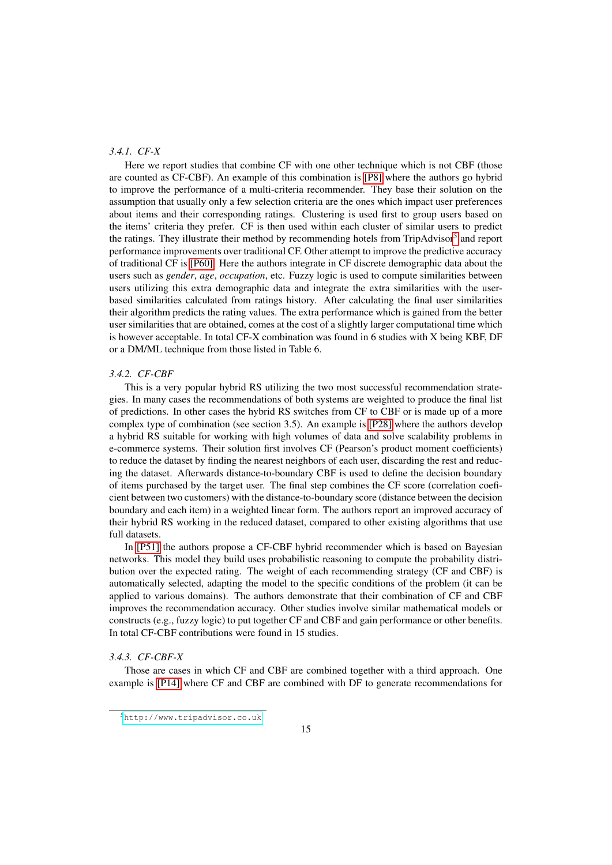# *3.4.1. CF-X*

Here we report studies that combine CF with one other technique which is not CBF (those are counted as CF-CBF). An example of this combination is [P8] where the authors go hybrid to improve the performance of a multi-criteria recommender. They base their solution on the assumption that usually only a few selection criteria are the ones which impact user preferences about items and their corresponding ratings. Clustering is used first to group users based on the items' criteria they prefer. CF is then used within each cluster of similar users to predict the ratings. They illustrate their method by recommending hotels from TripAdvisor<sup>5</sup> and report performance improvements over traditional CF. Other attempt to improve the predictive accuracy of traditional CF is [P60]. Here the authors integrate in CF discrete demographic data about the users such as *gender*, *age*, *occupation*, etc. Fuzzy logic is used to compute similarities between users utilizing this extra demographic data and integrate the extra similarities with the userbased similarities calculated from ratings history. After calculating the final user similarities their algorithm predicts the rating values. The extra performance which is gained from the better user similarities that are obtained, comes at the cost of a slightly larger computational time which is however acceptable. In total CF-X combination was found in 6 studies with X being KBF, DF or a DM/ML technique from those listed in Table 6.

#### *3.4.2. CF-CBF*

This is a very popular hybrid RS utilizing the two most successful recommendation strategies. In many cases the recommendations of both systems are weighted to produce the final list of predictions. In other cases the hybrid RS switches from CF to CBF or is made up of a more complex type of combination (see section 3.5). An example is [P28] where the authors develop a hybrid RS suitable for working with high volumes of data and solve scalability problems in e-commerce systems. Their solution first involves CF (Pearson's product moment coefficients) to reduce the dataset by finding the nearest neighbors of each user, discarding the rest and reducing the dataset. Afterwards distance-to-boundary CBF is used to define the decision boundary of items purchased by the target user. The final step combines the CF score (correlation coeficient between two customers) with the distance-to-boundary score (distance between the decision boundary and each item) in a weighted linear form. The authors report an improved accuracy of their hybrid RS working in the reduced dataset, compared to other existing algorithms that use full datasets.

In [P51] the authors propose a CF-CBF hybrid recommender which is based on Bayesian networks. This model they build uses probabilistic reasoning to compute the probability distribution over the expected rating. The weight of each recommending strategy (CF and CBF) is automatically selected, adapting the model to the specific conditions of the problem (it can be applied to various domains). The authors demonstrate that their combination of CF and CBF improves the recommendation accuracy. Other studies involve similar mathematical models or constructs (e.g., fuzzy logic) to put together CF and CBF and gain performance or other benefits. In total CF-CBF contributions were found in 15 studies.

# *3.4.3. CF-CBF-X*

Those are cases in which CF and CBF are combined together with a third approach. One example is [P14] where CF and CBF are combined with DF to generate recommendations for

<sup>5</sup><http://www.tripadvisor.co.uk>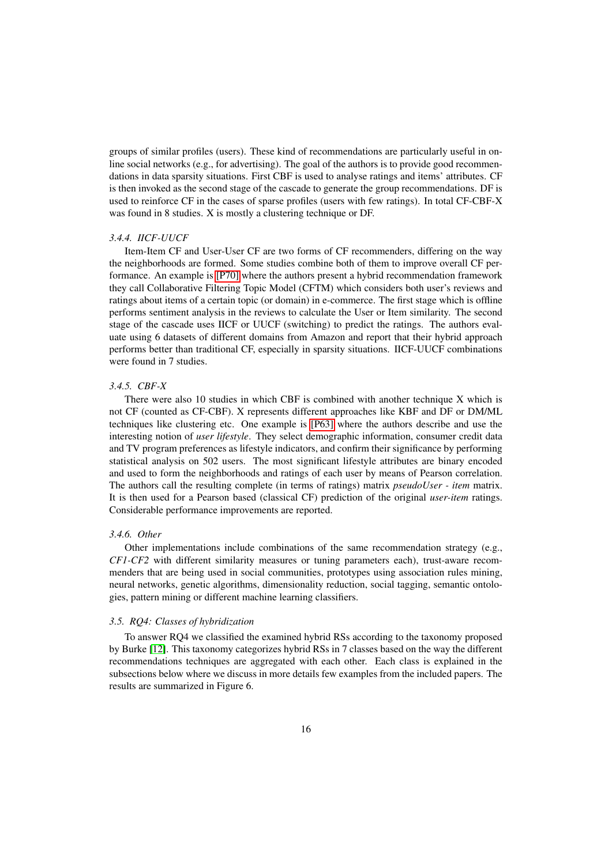groups of similar profiles (users). These kind of recommendations are particularly useful in online social networks (e.g., for advertising). The goal of the authors is to provide good recommendations in data sparsity situations. First CBF is used to analyse ratings and items' attributes. CF is then invoked as the second stage of the cascade to generate the group recommendations. DF is used to reinforce CF in the cases of sparse profiles (users with few ratings). In total CF-CBF-X was found in 8 studies. X is mostly a clustering technique or DF.

#### *3.4.4. IICF-UUCF*

Item-Item CF and User-User CF are two forms of CF recommenders, differing on the way the neighborhoods are formed. Some studies combine both of them to improve overall CF performance. An example is [P70] where the authors present a hybrid recommendation framework they call Collaborative Filtering Topic Model (CFTM) which considers both user's reviews and ratings about items of a certain topic (or domain) in e-commerce. The first stage which is offline performs sentiment analysis in the reviews to calculate the User or Item similarity. The second stage of the cascade uses IICF or UUCF (switching) to predict the ratings. The authors evaluate using 6 datasets of different domains from Amazon and report that their hybrid approach performs better than traditional CF, especially in sparsity situations. IICF-UUCF combinations were found in 7 studies.

# *3.4.5. CBF-X*

There were also 10 studies in which CBF is combined with another technique X which is not CF (counted as CF-CBF). X represents different approaches like KBF and DF or DM/ML techniques like clustering etc. One example is [P63] where the authors describe and use the interesting notion of *user lifestyle*. They select demographic information, consumer credit data and TV program preferences as lifestyle indicators, and confirm their significance by performing statistical analysis on 502 users. The most significant lifestyle attributes are binary encoded and used to form the neighborhoods and ratings of each user by means of Pearson correlation. The authors call the resulting complete (in terms of ratings) matrix *pseudoUser - item* matrix. It is then used for a Pearson based (classical CF) prediction of the original *user-item* ratings. Considerable performance improvements are reported.

## *3.4.6. Other*

Other implementations include combinations of the same recommendation strategy (e.g., *CF1-CF2* with different similarity measures or tuning parameters each), trust-aware recommenders that are being used in social communities, prototypes using association rules mining, neural networks, genetic algorithms, dimensionality reduction, social tagging, semantic ontologies, pattern mining or different machine learning classifiers.

#### *3.5. RQ4: Classes of hybridization*

To answer RQ4 we classified the examined hybrid RSs according to the taxonomy proposed by Burke [12]. This taxonomy categorizes hybrid RSs in 7 classes based on the way the different recommendations techniques are aggregated with each other. Each class is explained in the subsections below where we discuss in more details few examples from the included papers. The results are summarized in Figure 6.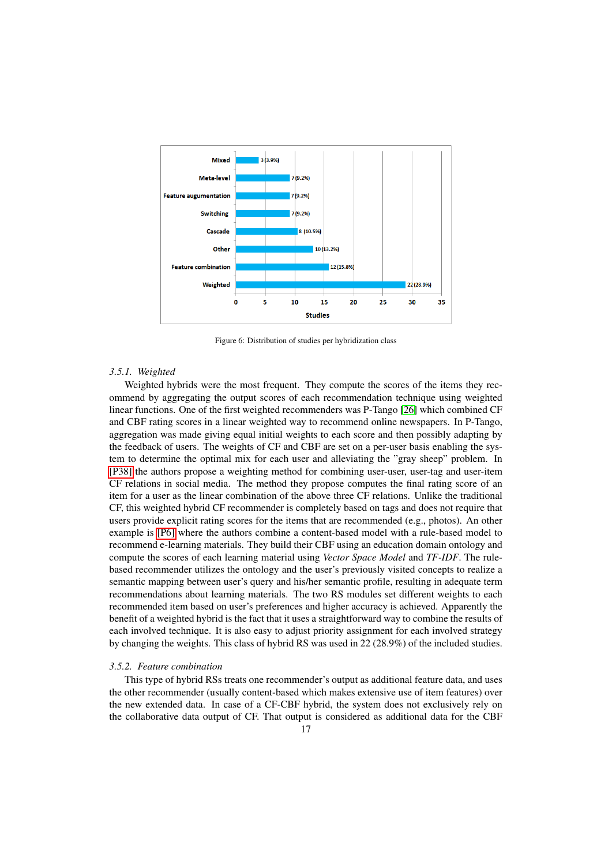

Figure 6: Distribution of studies per hybridization class

#### *3.5.1. Weighted*

Weighted hybrids were the most frequent. They compute the scores of the items they recommend by aggregating the output scores of each recommendation technique using weighted linear functions. One of the first weighted recommenders was P-Tango [26] which combined CF and CBF rating scores in a linear weighted way to recommend online newspapers. In P-Tango, aggregation was made giving equal initial weights to each score and then possibly adapting by the feedback of users. The weights of CF and CBF are set on a per-user basis enabling the system to determine the optimal mix for each user and alleviating the "gray sheep" problem. In [P38] the authors propose a weighting method for combining user-user, user-tag and user-item CF relations in social media. The method they propose computes the final rating score of an item for a user as the linear combination of the above three CF relations. Unlike the traditional CF, this weighted hybrid CF recommender is completely based on tags and does not require that users provide explicit rating scores for the items that are recommended (e.g., photos). An other example is [P6] where the authors combine a content-based model with a rule-based model to recommend e-learning materials. They build their CBF using an education domain ontology and compute the scores of each learning material using *Vector Space Model* and *TF-IDF*. The rulebased recommender utilizes the ontology and the user's previously visited concepts to realize a semantic mapping between user's query and his/her semantic profile, resulting in adequate term recommendations about learning materials. The two RS modules set different weights to each recommended item based on user's preferences and higher accuracy is achieved. Apparently the benefit of a weighted hybrid is the fact that it uses a straightforward way to combine the results of each involved technique. It is also easy to adjust priority assignment for each involved strategy by changing the weights. This class of hybrid RS was used in 22 (28.9%) of the included studies.

#### *3.5.2. Feature combination*

This type of hybrid RSs treats one recommender's output as additional feature data, and uses the other recommender (usually content-based which makes extensive use of item features) over the new extended data. In case of a CF-CBF hybrid, the system does not exclusively rely on the collaborative data output of CF. That output is considered as additional data for the CBF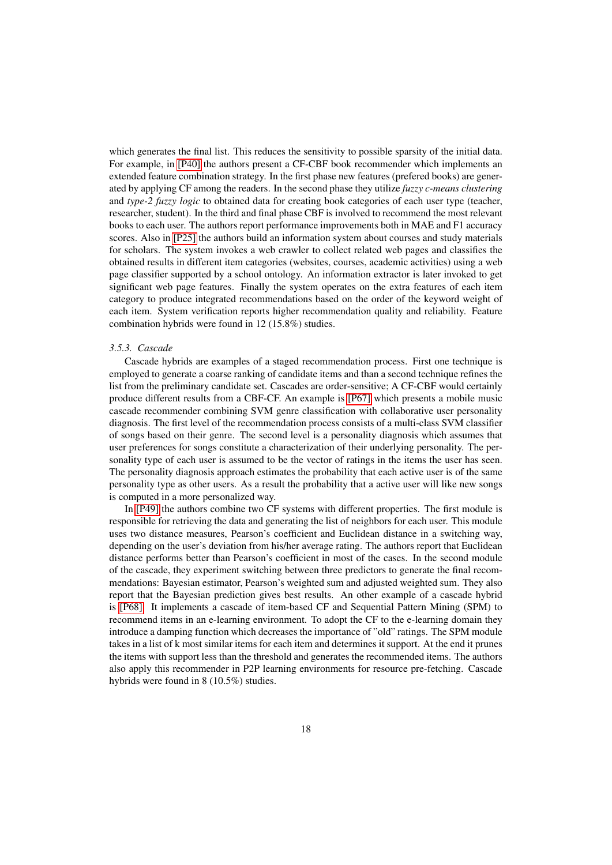which generates the final list. This reduces the sensitivity to possible sparsity of the initial data. For example, in [P40] the authors present a CF-CBF book recommender which implements an extended feature combination strategy. In the first phase new features (prefered books) are generated by applying CF among the readers. In the second phase they utilize *fuzzy c-means clustering* and *type-2 fuzzy logic* to obtained data for creating book categories of each user type (teacher, researcher, student). In the third and final phase CBF is involved to recommend the most relevant books to each user. The authors report performance improvements both in MAE and F1 accuracy scores. Also in [P25] the authors build an information system about courses and study materials for scholars. The system invokes a web crawler to collect related web pages and classifies the obtained results in different item categories (websites, courses, academic activities) using a web page classifier supported by a school ontology. An information extractor is later invoked to get significant web page features. Finally the system operates on the extra features of each item category to produce integrated recommendations based on the order of the keyword weight of each item. System verification reports higher recommendation quality and reliability. Feature combination hybrids were found in 12 (15.8%) studies.

#### *3.5.3. Cascade*

Cascade hybrids are examples of a staged recommendation process. First one technique is employed to generate a coarse ranking of candidate items and than a second technique refines the list from the preliminary candidate set. Cascades are order-sensitive; A CF-CBF would certainly produce different results from a CBF-CF. An example is [P67] which presents a mobile music cascade recommender combining SVM genre classification with collaborative user personality diagnosis. The first level of the recommendation process consists of a multi-class SVM classifier of songs based on their genre. The second level is a personality diagnosis which assumes that user preferences for songs constitute a characterization of their underlying personality. The personality type of each user is assumed to be the vector of ratings in the items the user has seen. The personality diagnosis approach estimates the probability that each active user is of the same personality type as other users. As a result the probability that a active user will like new songs is computed in a more personalized way.

In [P49] the authors combine two CF systems with different properties. The first module is responsible for retrieving the data and generating the list of neighbors for each user. This module uses two distance measures, Pearson's coefficient and Euclidean distance in a switching way, depending on the user's deviation from his/her average rating. The authors report that Euclidean distance performs better than Pearson's coefficient in most of the cases. In the second module of the cascade, they experiment switching between three predictors to generate the final recommendations: Bayesian estimator, Pearson's weighted sum and adjusted weighted sum. They also report that the Bayesian prediction gives best results. An other example of a cascade hybrid is [P68]. It implements a cascade of item-based CF and Sequential Pattern Mining (SPM) to recommend items in an e-learning environment. To adopt the CF to the e-learning domain they introduce a damping function which decreases the importance of "old" ratings. The SPM module takes in a list of k most similar items for each item and determines it support. At the end it prunes the items with support less than the threshold and generates the recommended items. The authors also apply this recommender in P2P learning environments for resource pre-fetching. Cascade hybrids were found in 8 (10.5%) studies.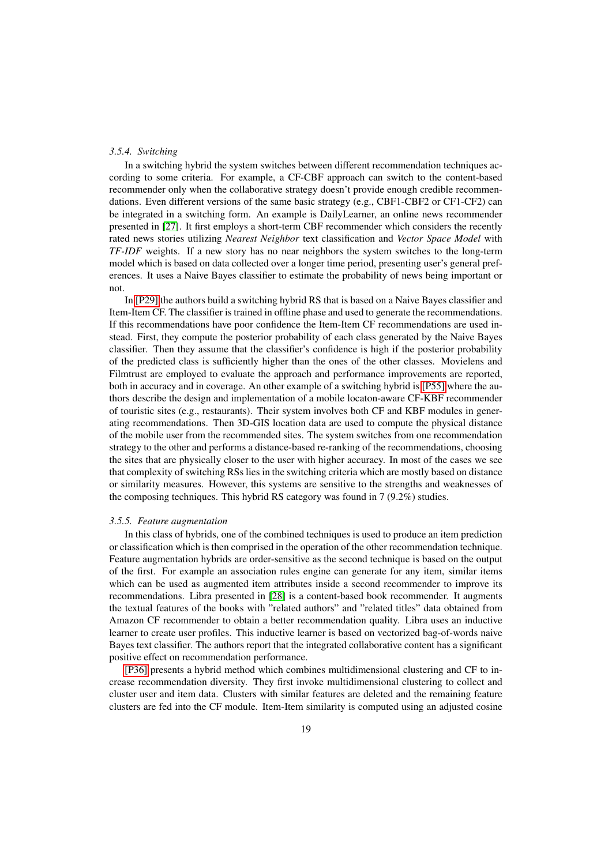#### *3.5.4. Switching*

In a switching hybrid the system switches between different recommendation techniques according to some criteria. For example, a CF-CBF approach can switch to the content-based recommender only when the collaborative strategy doesn't provide enough credible recommendations. Even different versions of the same basic strategy (e.g., CBF1-CBF2 or CF1-CF2) can be integrated in a switching form. An example is DailyLearner, an online news recommender presented in [27]. It first employs a short-term CBF recommender which considers the recently rated news stories utilizing *Nearest Neighbor* text classification and *Vector Space Model* with *TF-IDF* weights. If a new story has no near neighbors the system switches to the long-term model which is based on data collected over a longer time period, presenting user's general preferences. It uses a Naive Bayes classifier to estimate the probability of news being important or not.

In [P29] the authors build a switching hybrid RS that is based on a Naive Bayes classifier and Item-Item CF. The classifier is trained in offline phase and used to generate the recommendations. If this recommendations have poor confidence the Item-Item CF recommendations are used instead. First, they compute the posterior probability of each class generated by the Naive Bayes classifier. Then they assume that the classifier's confidence is high if the posterior probability of the predicted class is sufficiently higher than the ones of the other classes. Movielens and Filmtrust are employed to evaluate the approach and performance improvements are reported, both in accuracy and in coverage. An other example of a switching hybrid is [P55] where the authors describe the design and implementation of a mobile locaton-aware CF-KBF recommender of touristic sites (e.g., restaurants). Their system involves both CF and KBF modules in generating recommendations. Then 3D-GIS location data are used to compute the physical distance of the mobile user from the recommended sites. The system switches from one recommendation strategy to the other and performs a distance-based re-ranking of the recommendations, choosing the sites that are physically closer to the user with higher accuracy. In most of the cases we see that complexity of switching RSs lies in the switching criteria which are mostly based on distance or similarity measures. However, this systems are sensitive to the strengths and weaknesses of the composing techniques. This hybrid RS category was found in 7 (9.2%) studies.

## *3.5.5. Feature augmentation*

In this class of hybrids, one of the combined techniques is used to produce an item prediction or classification which is then comprised in the operation of the other recommendation technique. Feature augmentation hybrids are order-sensitive as the second technique is based on the output of the first. For example an association rules engine can generate for any item, similar items which can be used as augmented item attributes inside a second recommender to improve its recommendations. Libra presented in [28] is a content-based book recommender. It augments the textual features of the books with "related authors" and "related titles" data obtained from Amazon CF recommender to obtain a better recommendation quality. Libra uses an inductive learner to create user profiles. This inductive learner is based on vectorized bag-of-words naive Bayes text classifier. The authors report that the integrated collaborative content has a significant positive effect on recommendation performance.

[P36] presents a hybrid method which combines multidimensional clustering and CF to increase recommendation diversity. They first invoke multidimensional clustering to collect and cluster user and item data. Clusters with similar features are deleted and the remaining feature clusters are fed into the CF module. Item-Item similarity is computed using an adjusted cosine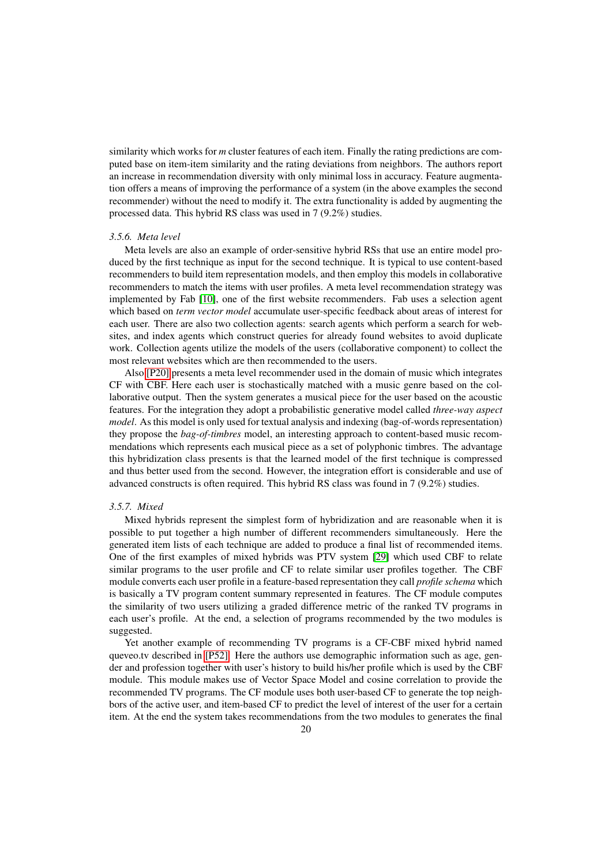similarity which works for *m* cluster features of each item. Finally the rating predictions are computed base on item-item similarity and the rating deviations from neighbors. The authors report an increase in recommendation diversity with only minimal loss in accuracy. Feature augmentation offers a means of improving the performance of a system (in the above examples the second recommender) without the need to modify it. The extra functionality is added by augmenting the processed data. This hybrid RS class was used in 7 (9.2%) studies.

#### *3.5.6. Meta level*

Meta levels are also an example of order-sensitive hybrid RSs that use an entire model produced by the first technique as input for the second technique. It is typical to use content-based recommenders to build item representation models, and then employ this models in collaborative recommenders to match the items with user profiles. A meta level recommendation strategy was implemented by Fab [10], one of the first website recommenders. Fab uses a selection agent which based on *term vector model* accumulate user-specific feedback about areas of interest for each user. There are also two collection agents: search agents which perform a search for websites, and index agents which construct queries for already found websites to avoid duplicate work. Collection agents utilize the models of the users (collaborative component) to collect the most relevant websites which are then recommended to the users.

Also [P20] presents a meta level recommender used in the domain of music which integrates CF with CBF. Here each user is stochastically matched with a music genre based on the collaborative output. Then the system generates a musical piece for the user based on the acoustic features. For the integration they adopt a probabilistic generative model called *three-way aspect model*. As this model is only used for textual analysis and indexing (bag-of-words representation) they propose the *bag-of-timbres* model, an interesting approach to content-based music recommendations which represents each musical piece as a set of polyphonic timbres. The advantage this hybridization class presents is that the learned model of the first technique is compressed and thus better used from the second. However, the integration effort is considerable and use of advanced constructs is often required. This hybrid RS class was found in 7 (9.2%) studies.

#### *3.5.7. Mixed*

Mixed hybrids represent the simplest form of hybridization and are reasonable when it is possible to put together a high number of different recommenders simultaneously. Here the generated item lists of each technique are added to produce a final list of recommended items. One of the first examples of mixed hybrids was PTV system [29] which used CBF to relate similar programs to the user profile and CF to relate similar user profiles together. The CBF module converts each user profile in a feature-based representation they call *profile schema* which is basically a TV program content summary represented in features. The CF module computes the similarity of two users utilizing a graded difference metric of the ranked TV programs in each user's profile. At the end, a selection of programs recommended by the two modules is suggested.

Yet another example of recommending TV programs is a CF-CBF mixed hybrid named queveo.tv described in [P52]. Here the authors use demographic information such as age, gender and profession together with user's history to build his/her profile which is used by the CBF module. This module makes use of Vector Space Model and cosine correlation to provide the recommended TV programs. The CF module uses both user-based CF to generate the top neighbors of the active user, and item-based CF to predict the level of interest of the user for a certain item. At the end the system takes recommendations from the two modules to generates the final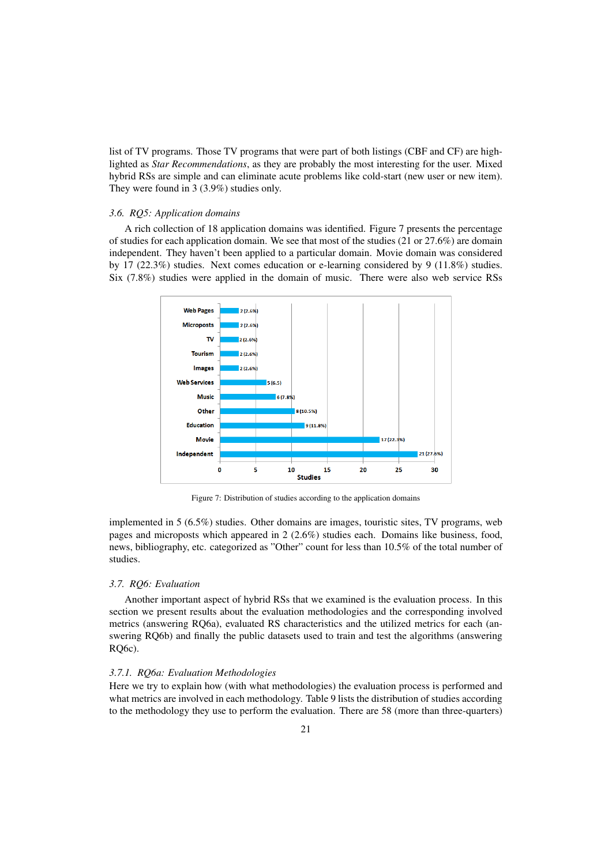list of TV programs. Those TV programs that were part of both listings (CBF and CF) are highlighted as *Star Recommendations*, as they are probably the most interesting for the user. Mixed hybrid RSs are simple and can eliminate acute problems like cold-start (new user or new item). They were found in 3 (3.9%) studies only.

# *3.6. RQ5: Application domains*

A rich collection of 18 application domains was identified. Figure 7 presents the percentage of studies for each application domain. We see that most of the studies (21 or 27.6%) are domain independent. They haven't been applied to a particular domain. Movie domain was considered by 17 (22.3%) studies. Next comes education or e-learning considered by 9 (11.8%) studies. Six (7.8%) studies were applied in the domain of music. There were also web service RSs



Figure 7: Distribution of studies according to the application domains

implemented in 5 (6.5%) studies. Other domains are images, touristic sites, TV programs, web pages and microposts which appeared in 2 (2.6%) studies each. Domains like business, food, news, bibliography, etc. categorized as "Other" count for less than 10.5% of the total number of studies.

## *3.7. RQ6: Evaluation*

Another important aspect of hybrid RSs that we examined is the evaluation process. In this section we present results about the evaluation methodologies and the corresponding involved metrics (answering RQ6a), evaluated RS characteristics and the utilized metrics for each (answering RQ6b) and finally the public datasets used to train and test the algorithms (answering RQ6c).

## *3.7.1. RQ6a: Evaluation Methodologies*

Here we try to explain how (with what methodologies) the evaluation process is performed and what metrics are involved in each methodology. Table 9 lists the distribution of studies according to the methodology they use to perform the evaluation. There are 58 (more than three-quarters)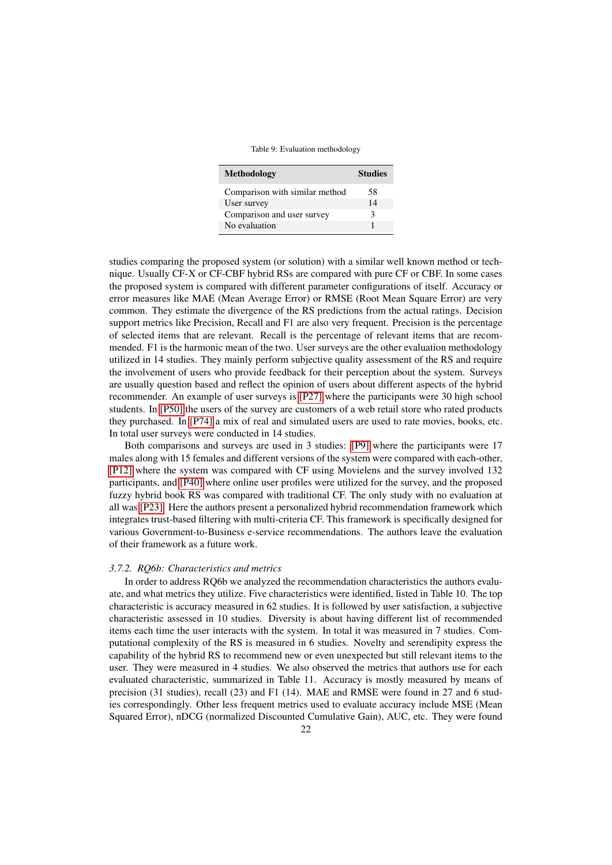#### Table 9: Evaluation methodology

| <b>Methodology</b>             | <b>Studies</b> |
|--------------------------------|----------------|
| Comparison with similar method | 58             |
| User survey                    | 14             |
| Comparison and user survey     | 3              |
| No evaluation                  |                |

studies comparing the proposed system (or solution) with a similar well known method or technique. Usually CF-X or CF-CBF hybrid RSs are compared with pure CF or CBF. In some cases the proposed system is compared with different parameter configurations of itself. Accuracy or error measures like MAE (Mean Average Error) or RMSE (Root Mean Square Error) are very common. They estimate the divergence of the RS predictions from the actual ratings. Decision support metrics like Precision, Recall and F1 are also very frequent. Precision is the percentage of selected items that are relevant. Recall is the percentage of relevant items that are recommended. F1 is the harmonic mean of the two. User surveys are the other evaluation methodology utilized in 14 studies. They mainly perform subjective quality assessment of the RS and require the involvement of users who provide feedback for their perception about the system. Surveys are usually question based and reflect the opinion of users about different aspects of the hybrid recommender. An example of user surveys is [P27] where the participants were 30 high school students. In [P50] the users of the survey are customers of a web retail store who rated products they purchased. In [P74] a mix of real and simulated users are used to rate movies, books, etc. In total user surveys were conducted in 14 studies.

Both comparisons and surveys are used in 3 studies: [P9] where the participants were 17 males along with 15 females and different versions of the system were compared with each-other, [P12] where the system was compared with CF using Movielens and the survey involved 132 participants, and [P40] where online user profiles were utilized for the survey, and the proposed fuzzy hybrid book RS was compared with traditional CF. The only study with no evaluation at all was [P23]. Here the authors present a personalized hybrid recommendation framework which integrates trust-based filtering with multi-criteria CF. This framework is specifically designed for various Government-to-Business e-service recommendations. The authors leave the evaluation of their framework as a future work.

#### *3.7.2. RQ6b: Characteristics and metrics*

In order to address RQ6b we analyzed the recommendation characteristics the authors evaluate, and what metrics they utilize. Five characteristics were identified, listed in Table 10. The top characteristic is accuracy measured in 62 studies. It is followed by user satisfaction, a subjective characteristic assessed in 10 studies. Diversity is about having different list of recommended items each time the user interacts with the system. In total it was measured in 7 studies. Computational complexity of the RS is measured in 6 studies. Novelty and serendipity express the capability of the hybrid RS to recommend new or even unexpected but still relevant items to the user. They were measured in 4 studies. We also observed the metrics that authors use for each evaluated characteristic, summarized in Table 11. Accuracy is mostly measured by means of precision (31 studies), recall (23) and F1 (14). MAE and RMSE were found in 27 and 6 studies correspondingly. Other less frequent metrics used to evaluate accuracy include MSE (Mean Squared Error), nDCG (normalized Discounted Cumulative Gain), AUC, etc. They were found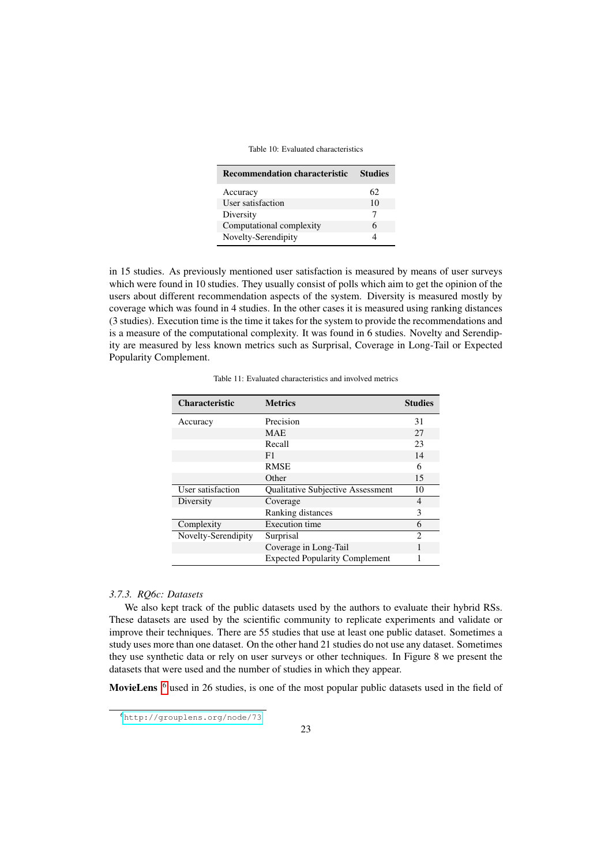| Table 10: Evaluated characteristics |  |
|-------------------------------------|--|
|-------------------------------------|--|

| <b>Recommendation characteristic</b> | <b>Studies</b> |
|--------------------------------------|----------------|
| Accuracy                             | 62             |
| User satisfaction                    | 10             |
| Diversity                            |                |
| Computational complexity             | 6              |
| Novelty-Serendipity                  |                |

in 15 studies. As previously mentioned user satisfaction is measured by means of user surveys which were found in 10 studies. They usually consist of polls which aim to get the opinion of the users about different recommendation aspects of the system. Diversity is measured mostly by coverage which was found in 4 studies. In the other cases it is measured using ranking distances (3 studies). Execution time is the time it takes for the system to provide the recommendations and is a measure of the computational complexity. It was found in 6 studies. Novelty and Serendipity are measured by less known metrics such as Surprisal, Coverage in Long-Tail or Expected Popularity Complement.

Table 11: Evaluated characteristics and involved metrics

| <b>Characteristic</b> | <b>Metrics</b>                           | <b>Studies</b> |
|-----------------------|------------------------------------------|----------------|
| Accuracy              | Precision                                | 31             |
|                       | <b>MAE</b>                               | 27             |
|                       | Recall                                   | 23             |
|                       | F1                                       | 14             |
|                       | <b>RMSE</b>                              | 6              |
|                       | Other                                    | 15             |
| User satisfaction     | <b>Qualitative Subjective Assessment</b> | 10             |
| Diversity             | Coverage                                 | 4              |
|                       | Ranking distances                        | 3              |
| Complexity            | <b>Execution time</b>                    | 6              |
| Novelty-Serendipity   | Surprisal                                | $\overline{c}$ |
|                       | Coverage in Long-Tail                    |                |
|                       | <b>Expected Popularity Complement</b>    |                |

## *3.7.3. RQ6c: Datasets*

We also kept track of the public datasets used by the authors to evaluate their hybrid RSs. These datasets are used by the scientific community to replicate experiments and validate or improve their techniques. There are 55 studies that use at least one public dataset. Sometimes a study uses more than one dataset. On the other hand 21 studies do not use any dataset. Sometimes they use synthetic data or rely on user surveys or other techniques. In Figure 8 we present the datasets that were used and the number of studies in which they appear.

MovieLens <sup>6</sup> used in 26 studies, is one of the most popular public datasets used in the field of

<sup>6</sup><http://grouplens.org/node/73>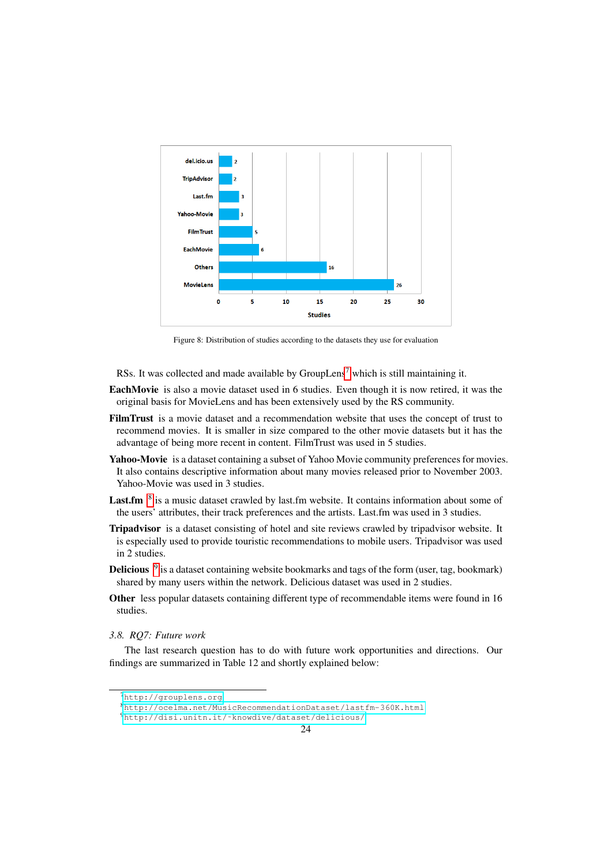

Figure 8: Distribution of studies according to the datasets they use for evaluation

RSs. It was collected and made available by GroupLens<sup>7</sup> which is still maintaining it.

- EachMovie is also a movie dataset used in 6 studies. Even though it is now retired, it was the original basis for MovieLens and has been extensively used by the RS community.
- FilmTrust is a movie dataset and a recommendation website that uses the concept of trust to recommend movies. It is smaller in size compared to the other movie datasets but it has the advantage of being more recent in content. FilmTrust was used in 5 studies.
- Yahoo-Movie is a dataset containing a subset of Yahoo Movie community preferences for movies. It also contains descriptive information about many movies released prior to November 2003. Yahoo-Movie was used in 3 studies.
- **Last.fm**  $8$  is a music dataset crawled by last.fm website. It contains information about some of the users' attributes, their track preferences and the artists. Last.fm was used in 3 studies.
- Tripadvisor is a dataset consisting of hotel and site reviews crawled by tripadvisor website. It is especially used to provide touristic recommendations to mobile users. Tripadvisor was used in 2 studies.
- Delicious<sup>9</sup> is a dataset containing website bookmarks and tags of the form (user, tag, bookmark) shared by many users within the network. Delicious dataset was used in 2 studies.
- Other less popular datasets containing different type of recommendable items were found in 16 studies.
- *3.8. RQ7: Future work*

The last research question has to do with future work opportunities and directions. Our findings are summarized in Table 12 and shortly explained below:

<sup>7</sup><http://grouplens.org>

<sup>8</sup><http://ocelma.net/MusicRecommendationDataset/lastfm-360K.html>

<sup>9</sup>[http://disi.unitn.it/˜knowdive/dataset/delicious/](http://disi.unitn.it/~knowdive/dataset/delicious/)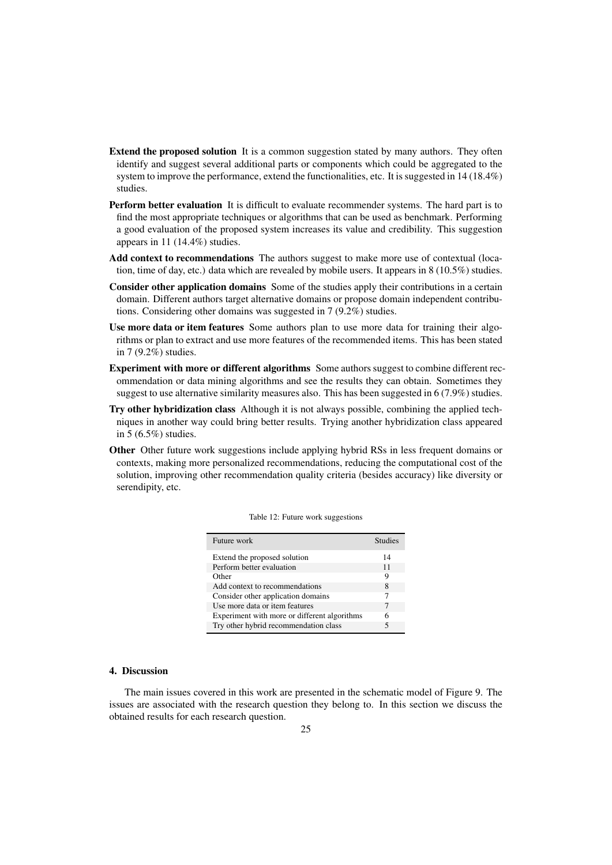- Extend the proposed solution It is a common suggestion stated by many authors. They often identify and suggest several additional parts or components which could be aggregated to the system to improve the performance, extend the functionalities, etc. It is suggested in 14 (18.4%) studies.
- Perform better evaluation It is difficult to evaluate recommender systems. The hard part is to find the most appropriate techniques or algorithms that can be used as benchmark. Performing a good evaluation of the proposed system increases its value and credibility. This suggestion appears in 11 (14.4%) studies.
- Add context to recommendations The authors suggest to make more use of contextual (location, time of day, etc.) data which are revealed by mobile users. It appears in 8 (10.5%) studies.
- Consider other application domains Some of the studies apply their contributions in a certain domain. Different authors target alternative domains or propose domain independent contributions. Considering other domains was suggested in 7 (9.2%) studies.
- Use more data or item features Some authors plan to use more data for training their algorithms or plan to extract and use more features of the recommended items. This has been stated in 7 (9.2%) studies.
- Experiment with more or different algorithms Some authors suggest to combine different recommendation or data mining algorithms and see the results they can obtain. Sometimes they suggest to use alternative similarity measures also. This has been suggested in 6 (7.9%) studies.
- Try other hybridization class Although it is not always possible, combining the applied techniques in another way could bring better results. Trying another hybridization class appeared in 5 (6.5%) studies.
- Other Other future work suggestions include applying hybrid RSs in less frequent domains or contexts, making more personalized recommendations, reducing the computational cost of the solution, improving other recommendation quality criteria (besides accuracy) like diversity or serendipity, etc.

| Future work                                  | <b>Studies</b> |
|----------------------------------------------|----------------|
| Extend the proposed solution                 | 14             |
| Perform better evaluation                    | 11             |
| Other                                        | 9              |
| Add context to recommendations               | 8              |
| Consider other application domains           |                |
| Use more data or item features               | 7              |
| Experiment with more or different algorithms | 6              |
| Try other hybrid recommendation class        | 5              |

|  |  |  | Table 12: Future work suggestions |
|--|--|--|-----------------------------------|
|--|--|--|-----------------------------------|

# 4. Discussion

The main issues covered in this work are presented in the schematic model of Figure 9. The issues are associated with the research question they belong to. In this section we discuss the obtained results for each research question.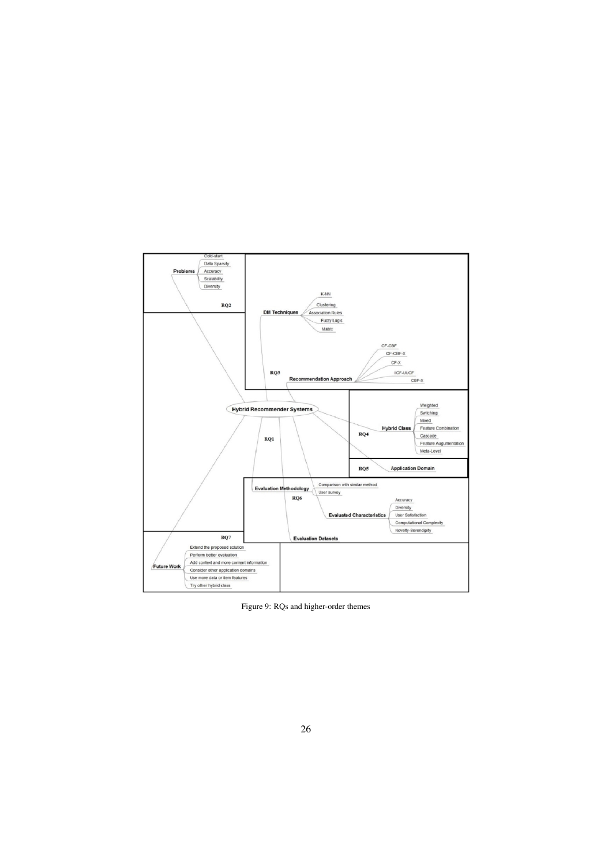

Figure 9: RQs and higher-order themes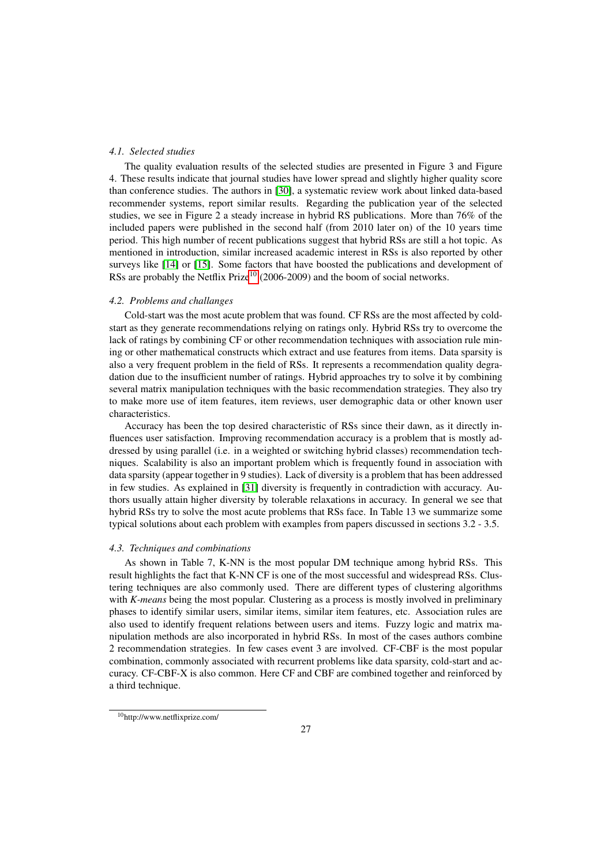## *4.1. Selected studies*

The quality evaluation results of the selected studies are presented in Figure 3 and Figure 4. These results indicate that journal studies have lower spread and slightly higher quality score than conference studies. The authors in [30], a systematic review work about linked data-based recommender systems, report similar results. Regarding the publication year of the selected studies, we see in Figure 2 a steady increase in hybrid RS publications. More than 76% of the included papers were published in the second half (from 2010 later on) of the 10 years time period. This high number of recent publications suggest that hybrid RSs are still a hot topic. As mentioned in introduction, similar increased academic interest in RSs is also reported by other surveys like [14] or [15]. Some factors that have boosted the publications and development of RSs are probably the Netflix Prize<sup>10</sup> (2006-2009) and the boom of social networks.

## *4.2. Problems and challanges*

Cold-start was the most acute problem that was found. CF RSs are the most affected by coldstart as they generate recommendations relying on ratings only. Hybrid RSs try to overcome the lack of ratings by combining CF or other recommendation techniques with association rule mining or other mathematical constructs which extract and use features from items. Data sparsity is also a very frequent problem in the field of RSs. It represents a recommendation quality degradation due to the insufficient number of ratings. Hybrid approaches try to solve it by combining several matrix manipulation techniques with the basic recommendation strategies. They also try to make more use of item features, item reviews, user demographic data or other known user characteristics.

Accuracy has been the top desired characteristic of RSs since their dawn, as it directly influences user satisfaction. Improving recommendation accuracy is a problem that is mostly addressed by using parallel (i.e. in a weighted or switching hybrid classes) recommendation techniques. Scalability is also an important problem which is frequently found in association with data sparsity (appear together in 9 studies). Lack of diversity is a problem that has been addressed in few studies. As explained in [31] diversity is frequently in contradiction with accuracy. Authors usually attain higher diversity by tolerable relaxations in accuracy. In general we see that hybrid RSs try to solve the most acute problems that RSs face. In Table 13 we summarize some typical solutions about each problem with examples from papers discussed in sections 3.2 - 3.5.

## *4.3. Techniques and combinations*

As shown in Table 7, K-NN is the most popular DM technique among hybrid RSs. This result highlights the fact that K-NN CF is one of the most successful and widespread RSs. Clustering techniques are also commonly used. There are different types of clustering algorithms with *K-means* being the most popular. Clustering as a process is mostly involved in preliminary phases to identify similar users, similar items, similar item features, etc. Association rules are also used to identify frequent relations between users and items. Fuzzy logic and matrix manipulation methods are also incorporated in hybrid RSs. In most of the cases authors combine 2 recommendation strategies. In few cases event 3 are involved. CF-CBF is the most popular combination, commonly associated with recurrent problems like data sparsity, cold-start and accuracy. CF-CBF-X is also common. Here CF and CBF are combined together and reinforced by a third technique.

<sup>10</sup>http://www.netflixprize.com/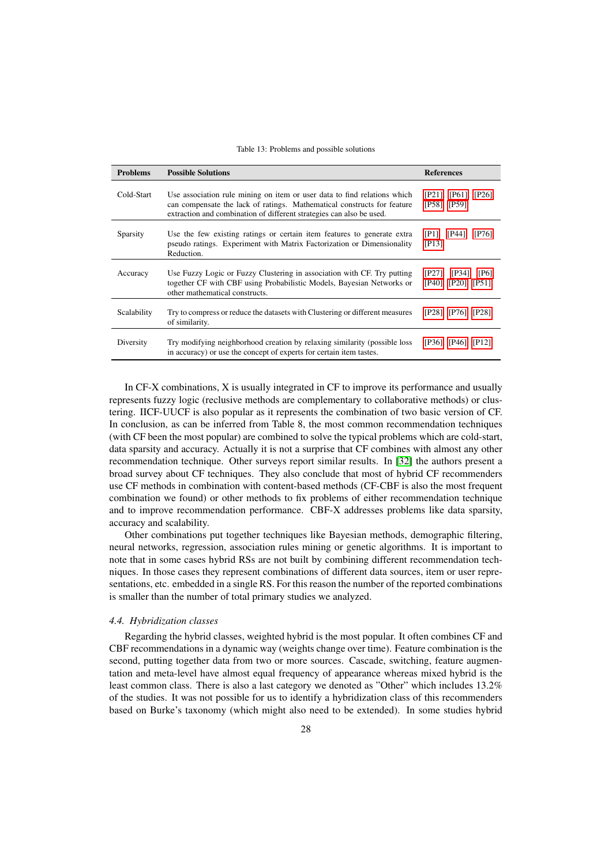| Table 13: Problems and possible solutions |  |
|-------------------------------------------|--|
|-------------------------------------------|--|

| <b>Problems</b> | <b>Possible Solutions</b>                                                                                                                                                                                                   | <b>References</b>                          |
|-----------------|-----------------------------------------------------------------------------------------------------------------------------------------------------------------------------------------------------------------------------|--------------------------------------------|
| Cold-Start      | Use association rule mining on item or user data to find relations which<br>can compensate the lack of ratings. Mathematical constructs for feature<br>extraction and combination of different strategies can also be used. | [P21], [P61], [P26],<br>$[P58]$ , $[P59]$  |
| <b>Sparsity</b> | Use the few existing ratings or certain item features to generate extra<br>pseudo ratings. Experiment with Matrix Factorization or Dimensionality<br>Reduction.                                                             | [P1]<br>[P44],<br>$[P76]$ ,<br>[P13]       |
| Accuracy        | Use Fuzzy Logic or Fuzzy Clustering in association with CF. Try putting<br>together CF with CBF using Probabilistic Models, Bayesian Networks or<br>other mathematical constructs.                                          | [P27], [P34], [P6],<br>[P40], [P20], [P51] |
| Scalability     | Try to compress or reduce the datasets with Clustering or different measures<br>of similarity.                                                                                                                              | $[P28]$ , $[P76]$ , $[P28]$                |
| Diversity       | Try modifying neighborhood creation by relaxing similarity (possible loss)<br>in accuracy) or use the concept of experts for certain item tastes.                                                                           | $[P36]$ , $[P46]$ , $[P12]$                |

In CF-X combinations, X is usually integrated in CF to improve its performance and usually represents fuzzy logic (reclusive methods are complementary to collaborative methods) or clustering. IICF-UUCF is also popular as it represents the combination of two basic version of CF. In conclusion, as can be inferred from Table 8, the most common recommendation techniques (with CF been the most popular) are combined to solve the typical problems which are cold-start, data sparsity and accuracy. Actually it is not a surprise that CF combines with almost any other recommendation technique. Other surveys report similar results. In [32] the authors present a broad survey about CF techniques. They also conclude that most of hybrid CF recommenders use CF methods in combination with content-based methods (CF-CBF is also the most frequent combination we found) or other methods to fix problems of either recommendation technique and to improve recommendation performance. CBF-X addresses problems like data sparsity, accuracy and scalability.

Other combinations put together techniques like Bayesian methods, demographic filtering, neural networks, regression, association rules mining or genetic algorithms. It is important to note that in some cases hybrid RSs are not built by combining different recommendation techniques. In those cases they represent combinations of different data sources, item or user representations, etc. embedded in a single RS. For this reason the number of the reported combinations is smaller than the number of total primary studies we analyzed.

#### *4.4. Hybridization classes*

Regarding the hybrid classes, weighted hybrid is the most popular. It often combines CF and CBF recommendations in a dynamic way (weights change over time). Feature combination is the second, putting together data from two or more sources. Cascade, switching, feature augmentation and meta-level have almost equal frequency of appearance whereas mixed hybrid is the least common class. There is also a last category we denoted as "Other" which includes 13.2% of the studies. It was not possible for us to identify a hybridization class of this recommenders based on Burke's taxonomy (which might also need to be extended). In some studies hybrid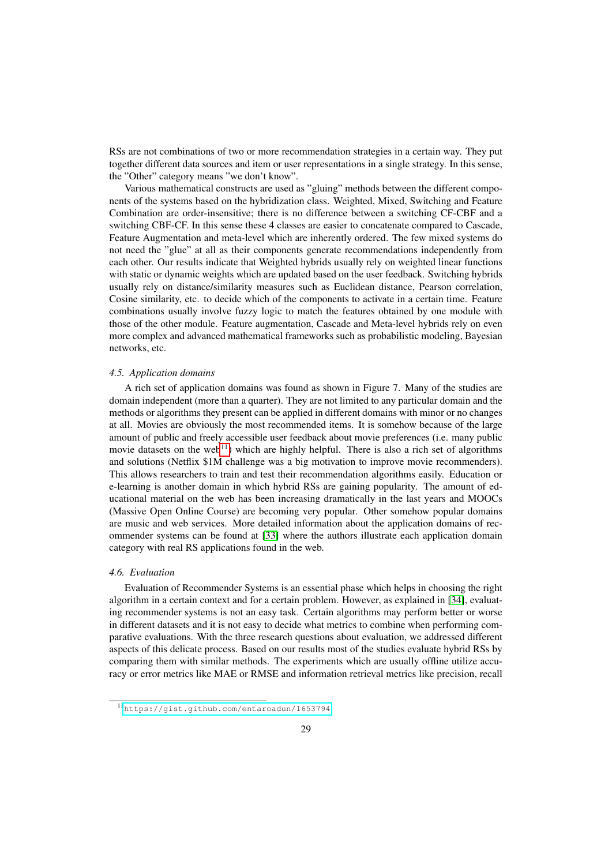RSs are not combinations of two or more recommendation strategies in a certain way. They put together different data sources and item or user representations in a single strategy. In this sense, the "Other" category means "we don't know".

Various mathematical constructs are used as "gluing" methods between the different components of the systems based on the hybridization class. Weighted, Mixed, Switching and Feature Combination are order-insensitive; there is no difference between a switching CF-CBF and a switching CBF-CF. In this sense these 4 classes are easier to concatenate compared to Cascade, Feature Augmentation and meta-level which are inherently ordered. The few mixed systems do not need the "glue" at all as their components generate recommendations independently from each other. Our results indicate that Weighted hybrids usually rely on weighted linear functions with static or dynamic weights which are updated based on the user feedback. Switching hybrids usually rely on distance/similarity measures such as Euclidean distance, Pearson correlation, Cosine similarity, etc. to decide which of the components to activate in a certain time. Feature combinations usually involve fuzzy logic to match the features obtained by one module with those of the other module. Feature augmentation, Cascade and Meta-level hybrids rely on even more complex and advanced mathematical frameworks such as probabilistic modeling, Bayesian networks, etc.

#### *4.5. Application domains*

A rich set of application domains was found as shown in Figure 7. Many of the studies are domain independent (more than a quarter). They are not limited to any particular domain and the methods or algorithms they present can be applied in different domains with minor or no changes at all. Movies are obviously the most recommended items. It is somehow because of the large amount of public and freely accessible user feedback about movie preferences (i.e. many public movie datasets on the web<sup>11</sup>) which are highly helpful. There is also a rich set of algorithms and solutions (Netflix \$1M challenge was a big motivation to improve movie recommenders). This allows researchers to train and test their recommendation algorithms easily. Education or e-learning is another domain in which hybrid RSs are gaining popularity. The amount of educational material on the web has been increasing dramatically in the last years and MOOCs (Massive Open Online Course) are becoming very popular. Other somehow popular domains are music and web services. More detailed information about the application domains of recommender systems can be found at [33] where the authors illustrate each application domain category with real RS applications found in the web.

#### *4.6. Evaluation*

Evaluation of Recommender Systems is an essential phase which helps in choosing the right algorithm in a certain context and for a certain problem. However, as explained in [34], evaluating recommender systems is not an easy task. Certain algorithms may perform better or worse in different datasets and it is not easy to decide what metrics to combine when performing comparative evaluations. With the three research questions about evaluation, we addressed different aspects of this delicate process. Based on our results most of the studies evaluate hybrid RSs by comparing them with similar methods. The experiments which are usually offline utilize accuracy or error metrics like MAE or RMSE and information retrieval metrics like precision, recall

<sup>11</sup><https://gist.github.com/entaroadun/1653794>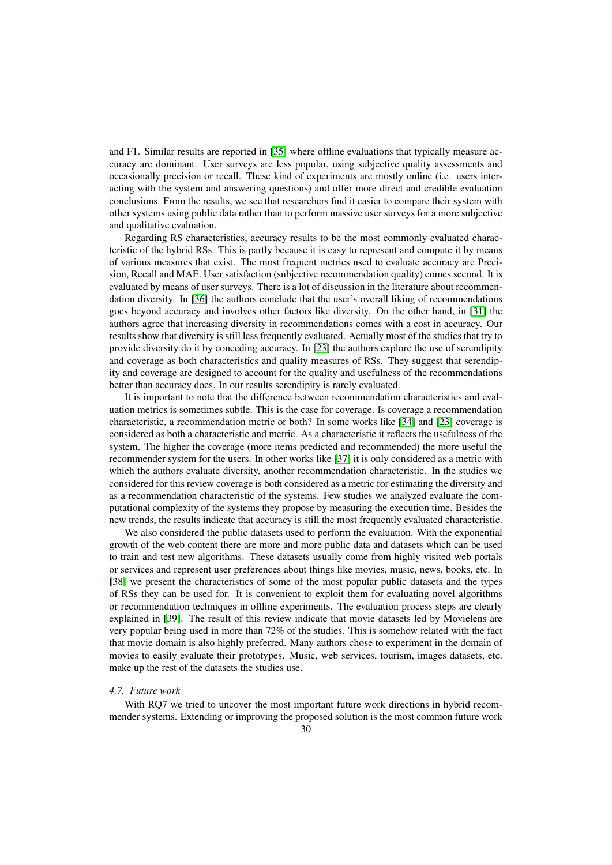and F1. Similar results are reported in [35] where offline evaluations that typically measure accuracy are dominant. User surveys are less popular, using subjective quality assessments and occasionally precision or recall. These kind of experiments are mostly online (i.e. users interacting with the system and answering questions) and offer more direct and credible evaluation conclusions. From the results, we see that researchers find it easier to compare their system with other systems using public data rather than to perform massive user surveys for a more subjective and qualitative evaluation.

Regarding RS characteristics, accuracy results to be the most commonly evaluated characteristic of the hybrid RSs. This is partly because it is easy to represent and compute it by means of various measures that exist. The most frequent metrics used to evaluate accuracy are Precision, Recall and MAE. User satisfaction (subjective recommendation quality) comes second. It is evaluated by means of user surveys. There is a lot of discussion in the literature about recommendation diversity. In [36] the authors conclude that the user's overall liking of recommendations goes beyond accuracy and involves other factors like diversity. On the other hand, in [31] the authors agree that increasing diversity in recommendations comes with a cost in accuracy. Our results show that diversity is still less frequently evaluated. Actually most of the studies that try to provide diversity do it by conceding accuracy. In [23] the authors explore the use of serendipity and coverage as both characteristics and quality measures of RSs. They suggest that serendipity and coverage are designed to account for the quality and usefulness of the recommendations better than accuracy does. In our results serendipity is rarely evaluated.

It is important to note that the difference between recommendation characteristics and evaluation metrics is sometimes subtle. This is the case for coverage. Is coverage a recommendation characteristic, a recommendation metric or both? In some works like [34] and [23] coverage is considered as both a characteristic and metric. As a characteristic it reflects the usefulness of the system. The higher the coverage (more items predicted and recommended) the more useful the recommender system for the users. In other works like [37] it is only considered as a metric with which the authors evaluate diversity, another recommendation characteristic. In the studies we considered for this review coverage is both considered as a metric for estimating the diversity and as a recommendation characteristic of the systems. Few studies we analyzed evaluate the computational complexity of the systems they propose by measuring the execution time. Besides the new trends, the results indicate that accuracy is still the most frequently evaluated characteristic.

We also considered the public datasets used to perform the evaluation. With the exponential growth of the web content there are more and more public data and datasets which can be used to train and test new algorithms. These datasets usually come from highly visited web portals or services and represent user preferences about things like movies, music, news, books, etc. In [38] we present the characteristics of some of the most popular public datasets and the types of RSs they can be used for. It is convenient to exploit them for evaluating novel algorithms or recommendation techniques in offline experiments. The evaluation process steps are clearly explained in [39]. The result of this review indicate that movie datasets led by Movielens are very popular being used in more than 72% of the studies. This is somehow related with the fact that movie domain is also highly preferred. Many authors chose to experiment in the domain of movies to easily evaluate their prototypes. Music, web services, tourism, images datasets, etc. make up the rest of the datasets the studies use.

## *4.7. Future work*

With RQ7 we tried to uncover the most important future work directions in hybrid recommender systems. Extending or improving the proposed solution is the most common future work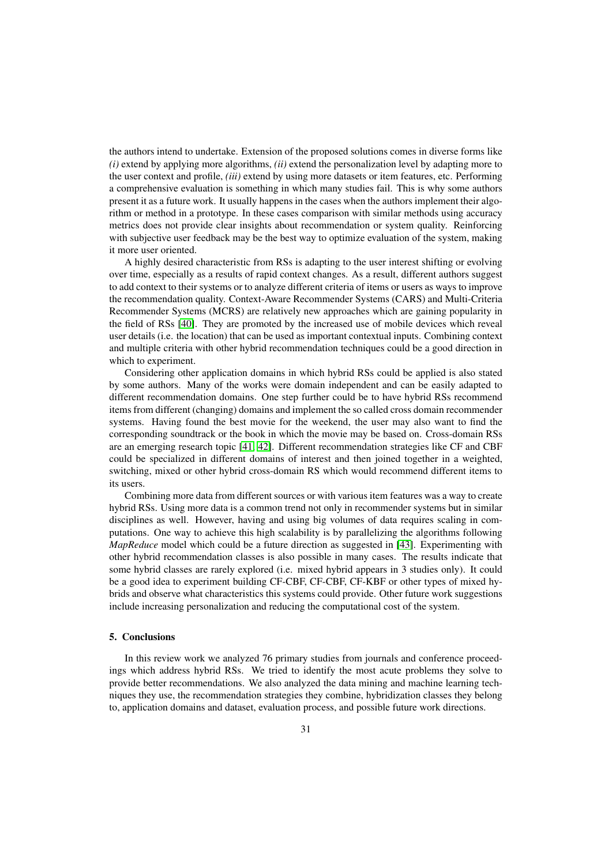the authors intend to undertake. Extension of the proposed solutions comes in diverse forms like *(i)* extend by applying more algorithms, *(ii)* extend the personalization level by adapting more to the user context and profile, *(iii)* extend by using more datasets or item features, etc. Performing a comprehensive evaluation is something in which many studies fail. This is why some authors present it as a future work. It usually happens in the cases when the authors implement their algorithm or method in a prototype. In these cases comparison with similar methods using accuracy metrics does not provide clear insights about recommendation or system quality. Reinforcing with subjective user feedback may be the best way to optimize evaluation of the system, making it more user oriented.

A highly desired characteristic from RSs is adapting to the user interest shifting or evolving over time, especially as a results of rapid context changes. As a result, different authors suggest to add context to their systems or to analyze different criteria of items or users as ways to improve the recommendation quality. Context-Aware Recommender Systems (CARS) and Multi-Criteria Recommender Systems (MCRS) are relatively new approaches which are gaining popularity in the field of RSs [40]. They are promoted by the increased use of mobile devices which reveal user details (i.e. the location) that can be used as important contextual inputs. Combining context and multiple criteria with other hybrid recommendation techniques could be a good direction in which to experiment.

Considering other application domains in which hybrid RSs could be applied is also stated by some authors. Many of the works were domain independent and can be easily adapted to different recommendation domains. One step further could be to have hybrid RSs recommend items from different (changing) domains and implement the so called cross domain recommender systems. Having found the best movie for the weekend, the user may also want to find the corresponding soundtrack or the book in which the movie may be based on. Cross-domain RSs are an emerging research topic [41, 42]. Different recommendation strategies like CF and CBF could be specialized in different domains of interest and then joined together in a weighted, switching, mixed or other hybrid cross-domain RS which would recommend different items to its users.

Combining more data from different sources or with various item features was a way to create hybrid RSs. Using more data is a common trend not only in recommender systems but in similar disciplines as well. However, having and using big volumes of data requires scaling in computations. One way to achieve this high scalability is by parallelizing the algorithms following *MapReduce* model which could be a future direction as suggested in [43]. Experimenting with other hybrid recommendation classes is also possible in many cases. The results indicate that some hybrid classes are rarely explored (i.e. mixed hybrid appears in 3 studies only). It could be a good idea to experiment building CF-CBF, CF-CBF, CF-KBF or other types of mixed hybrids and observe what characteristics this systems could provide. Other future work suggestions include increasing personalization and reducing the computational cost of the system.

#### 5. Conclusions

In this review work we analyzed 76 primary studies from journals and conference proceedings which address hybrid RSs. We tried to identify the most acute problems they solve to provide better recommendations. We also analyzed the data mining and machine learning techniques they use, the recommendation strategies they combine, hybridization classes they belong to, application domains and dataset, evaluation process, and possible future work directions.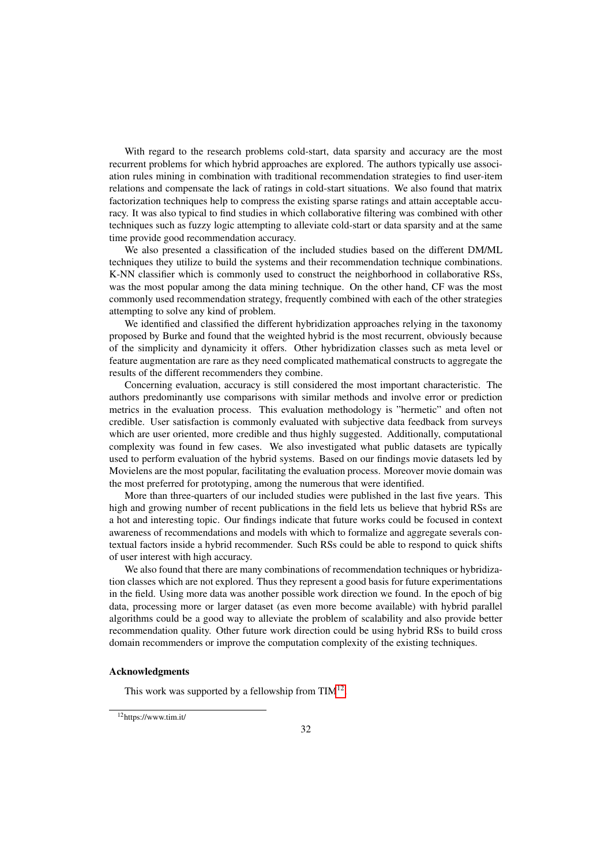With regard to the research problems cold-start, data sparsity and accuracy are the most recurrent problems for which hybrid approaches are explored. The authors typically use association rules mining in combination with traditional recommendation strategies to find user-item relations and compensate the lack of ratings in cold-start situations. We also found that matrix factorization techniques help to compress the existing sparse ratings and attain acceptable accuracy. It was also typical to find studies in which collaborative filtering was combined with other techniques such as fuzzy logic attempting to alleviate cold-start or data sparsity and at the same time provide good recommendation accuracy.

We also presented a classification of the included studies based on the different DM/ML techniques they utilize to build the systems and their recommendation technique combinations. K-NN classifier which is commonly used to construct the neighborhood in collaborative RSs, was the most popular among the data mining technique. On the other hand, CF was the most commonly used recommendation strategy, frequently combined with each of the other strategies attempting to solve any kind of problem.

We identified and classified the different hybridization approaches relying in the taxonomy proposed by Burke and found that the weighted hybrid is the most recurrent, obviously because of the simplicity and dynamicity it offers. Other hybridization classes such as meta level or feature augmentation are rare as they need complicated mathematical constructs to aggregate the results of the different recommenders they combine.

Concerning evaluation, accuracy is still considered the most important characteristic. The authors predominantly use comparisons with similar methods and involve error or prediction metrics in the evaluation process. This evaluation methodology is "hermetic" and often not credible. User satisfaction is commonly evaluated with subjective data feedback from surveys which are user oriented, more credible and thus highly suggested. Additionally, computational complexity was found in few cases. We also investigated what public datasets are typically used to perform evaluation of the hybrid systems. Based on our findings movie datasets led by Movielens are the most popular, facilitating the evaluation process. Moreover movie domain was the most preferred for prototyping, among the numerous that were identified.

More than three-quarters of our included studies were published in the last five years. This high and growing number of recent publications in the field lets us believe that hybrid RSs are a hot and interesting topic. Our findings indicate that future works could be focused in context awareness of recommendations and models with which to formalize and aggregate severals contextual factors inside a hybrid recommender. Such RSs could be able to respond to quick shifts of user interest with high accuracy.

We also found that there are many combinations of recommendation techniques or hybridization classes which are not explored. Thus they represent a good basis for future experimentations in the field. Using more data was another possible work direction we found. In the epoch of big data, processing more or larger dataset (as even more become available) with hybrid parallel algorithms could be a good way to alleviate the problem of scalability and also provide better recommendation quality. Other future work direction could be using hybrid RSs to build cross domain recommenders or improve the computation complexity of the existing techniques.

#### Acknowledgments

This work was supported by a fellowship from  $TIM^{12}$ .

<sup>12</sup>https://www.tim.it/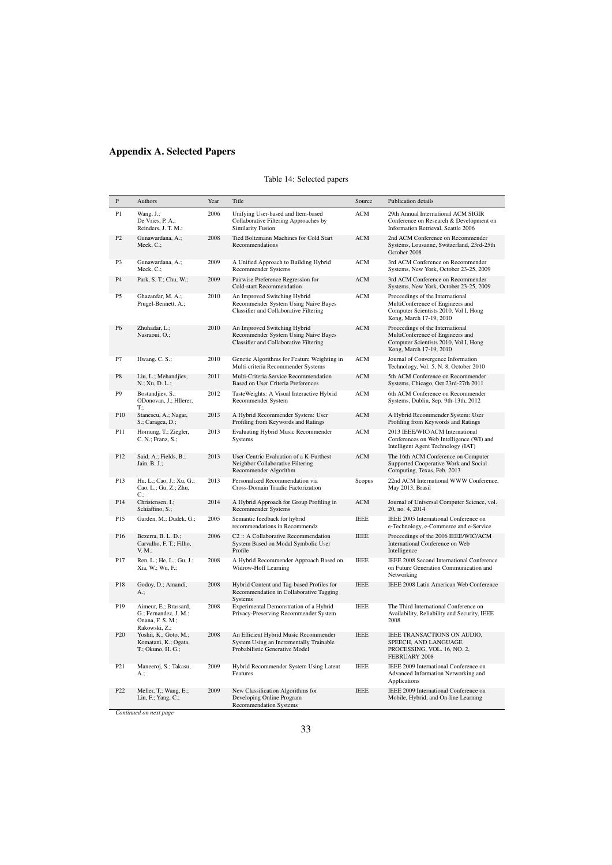# Appendix A. Selected Papers

# Table 14: Selected papers

| P               | Authors                                                                             | Year | Title                                                                                                              | Source      | Publication details                                                                                                                      |
|-----------------|-------------------------------------------------------------------------------------|------|--------------------------------------------------------------------------------------------------------------------|-------------|------------------------------------------------------------------------------------------------------------------------------------------|
| P1              | Wang, $J$ .;<br>De Vries, P. A.;<br>Reinders, J. T. M.;                             | 2006 | Unifying User-based and Item-based<br>Collaborative Filtering Approaches by<br><b>Similarity Fusion</b>            | <b>ACM</b>  | 29th Annual International ACM SIGIR<br>Conference on Research & Development on<br>Information Retrieval, Seattle 2006                    |
| P <sub>2</sub>  | Gunawardana, A.;<br>Meek, C.;                                                       | 2008 | Tied Boltzmann Machines for Cold Start<br>Recommendations                                                          | <b>ACM</b>  | 2nd ACM Conference on Recommender<br>Systems, Lousanne, Switzerland, 23rd-25th<br>October 2008                                           |
| P3              | Gunawardana, A.;<br>Meek, C.;                                                       | 2009 | A Unified Approach to Building Hybrid<br>Recommender Systems                                                       | <b>ACM</b>  | 3rd ACM Conference on Recommender<br>Systems, New York, October 23-25, 2009                                                              |
| P4              | Park, S. T.; Chu, W.;                                                               | 2009 | Pairwise Preference Regression for<br>Cold-start Recommendation                                                    | ACM         | 3rd ACM Conference on Recommender<br>Systems, New York, October 23-25, 2009                                                              |
| P <sub>5</sub>  | Ghazanfar, M. A.;<br>Prugel-Bennett, A.;                                            | 2010 | An Improved Switching Hybrid<br>Recommender System Using Naive Bayes<br>Classifier and Collaborative Filtering     | <b>ACM</b>  | Proceedings of the International<br>MultiConference of Engineers and<br>Computer Scientists 2010, Vol I, Hong<br>Kong, March 17-19, 2010 |
| P6              | Zhuhadar, L.;<br>Nasraoui, O.;                                                      | 2010 | An Improved Switching Hybrid<br>Recommender System Using Naive Bayes<br>Classifier and Collaborative Filtering     | <b>ACM</b>  | Proceedings of the International<br>MultiConference of Engineers and<br>Computer Scientists 2010, Vol I, Hong<br>Kong, March 17-19, 2010 |
| P7              | Hwang, C. S.;                                                                       | 2010 | Genetic Algorithms for Feature Weighting in<br>Multi-criteria Recommender Systems                                  | <b>ACM</b>  | Journal of Convergence Information<br>Technology, Vol. 5, N. 8, October 2010                                                             |
| P8              | Liu, L.; Mehandjiev,<br>N.; Xu, D. L.;                                              | 2011 | Multi-Criteria Service Recommendation<br>Based on User Criteria Preferences                                        | <b>ACM</b>  | 5th ACM Conference on Recommender<br>Systems, Chicago, Oct 23rd-27th 2011                                                                |
| P <sub>9</sub>  | Bostandjiev, S.;<br>ODonovan, J.; Hllerer,<br>$T$ .                                 | 2012 | TasteWeights: A Visual Interactive Hybrid<br>Recommender System                                                    | <b>ACM</b>  | 6th ACM Conference on Recommender<br>Systems, Dublin, Sep. 9th-13th, 2012                                                                |
| P10             | Stanescu, A.; Nagar,<br>S.; Caragea, D.;                                            | 2013 | A Hybrid Recommender System: User<br>Profiling from Keywords and Ratings                                           | <b>ACM</b>  | A Hybrid Recommender System: User<br>Profiling from Keywords and Ratings                                                                 |
| P11             | Hornung, T.; Ziegler,<br>C. N.; Franz, S.;                                          | 2013 | <b>Evaluating Hybrid Music Recommender</b><br>Systems                                                              | <b>ACM</b>  | 2013 IEEE/WIC/ACM International<br>Conferences on Web Intelligence (WI) and<br>Intelligent Agent Technology (IAT)                        |
| P12             | Said, A.; Fields, B.;<br>Jain, B. J.;                                               | 2013 | User-Centric Evaluation of a K-Furthest<br>Neighbor Collaborative Filtering<br>Recommender Algorithm               | <b>ACM</b>  | The 16th ACM Conference on Computer<br>Supported Cooperative Work and Social<br>Computing, Texas, Feb. 2013                              |
| P13             | Hu, L.; Cao, J.; Xu, G.;<br>Cao, L.; Gu, Z.; Zhu,<br>$C$ :                          | 2013 | Personalized Recommendation via<br>Cross-Domain Triadic Factorization                                              | Scopus      | 22nd ACM International WWW Conference,<br>May 2013, Brasil                                                                               |
| P14             | Christensen, I.;<br>Schiaffino, S.;                                                 | 2014 | A Hybrid Approach for Group Profiling in<br><b>Recommender Systems</b>                                             | <b>ACM</b>  | Journal of Universal Computer Science, vol.<br>20, no. 4, 2014                                                                           |
| P15             | Garden, M.; Dudek, G.;                                                              | 2005 | Semantic feedback for hybrid<br>recommendations in Recommendz                                                      | <b>IEEE</b> | IEEE 2005 International Conference on<br>e-Technology, e-Commerce and e-Service                                                          |
| P16             | Bezerra, B. L. D.;<br>Carvalho, F. T.; Filho,<br>V. M.;                             | 2006 | C2 :: A Collaborative Recommendation<br>System Based on Modal Symbolic User<br>Profile                             | <b>IEEE</b> | Proceedings of the 2006 IEEE/WIC/ACM<br>International Conference on Web<br>Intelligence                                                  |
| P17             | Ren, L.; He, L.; Gu, J.;<br>Xia, W.; Wu, F.;                                        | 2008 | A Hybrid Recommender Approach Based on<br>Widrow-Hoff Learning                                                     | <b>IEEE</b> | IEEE 2008 Second International Conference<br>on Future Generation Communication and<br>Networking                                        |
| P18             | Godoy, D.; Amandi,<br>A.;                                                           | 2008 | Hybrid Content and Tag-based Profiles for<br>Recommendation in Collaborative Tagging<br>Systems                    | <b>IEEE</b> | IEEE 2008 Latin American Web Conference                                                                                                  |
| P19             | Aimeur, E.; Brassard,<br>G.; Fernandez, J. M.;<br>Onana, F. S. M.;<br>Rakowski, Z.; | 2008 | Experimental Demonstration of a Hybrid<br>Privacy-Preserving Recommender System                                    | IEEE        | The Third International Conference on<br>Availability, Reliability and Security, IEEE<br>2008                                            |
| P <sub>20</sub> | Yoshii, K.; Goto, M.;<br>Komatani, K.; Ogata,<br>T.; Okuno, H. G.;                  | 2008 | An Efficient Hybrid Music Recommender<br>System Using an Incrementally Trainable<br>Probabilistic Generative Model | <b>IEEE</b> | IEEE TRANSACTIONS ON AUDIO,<br>SPEECH, AND LANGUAGE<br>PROCESSING, VOL. 16, NO. 2,<br>FEBRUARY 2008                                      |
| P21             | Maneeroj, S.; Takasu,<br>A.;                                                        | 2009 | Hybrid Recommender System Using Latent<br>Features                                                                 | <b>IEEE</b> | IEEE 2009 International Conference on<br>Advanced Information Networking and<br>Applications                                             |
| P22             | Meller, T.; Wang, E.;<br>Lin, F.; Yang, C.;                                         | 2009 | New Classification Algorithms for<br>Developing Online Program<br><b>Recommendation Systems</b>                    | <b>IEEE</b> | IEEE 2009 International Conference on<br>Mobile, Hybrid, and On-line Learning                                                            |
|                 | Continued on next page                                                              |      |                                                                                                                    |             |                                                                                                                                          |

33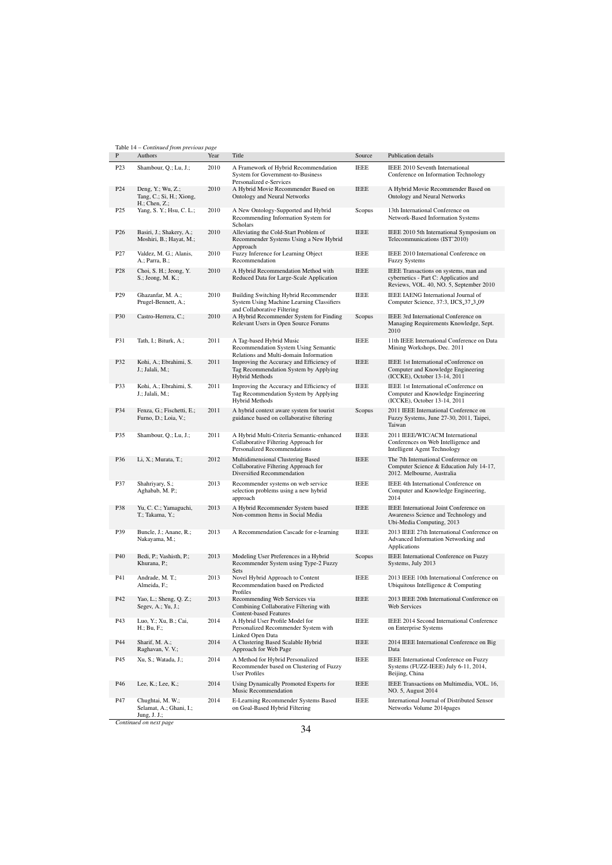|                 | Table 14 - Continued from previous page                           |      |                                                                                                                   |             |                                                                                                                           |
|-----------------|-------------------------------------------------------------------|------|-------------------------------------------------------------------------------------------------------------------|-------------|---------------------------------------------------------------------------------------------------------------------------|
| P               | Authors                                                           | Year | Title                                                                                                             | Source      | Publication details                                                                                                       |
| P23             | Shambour, Q.; Lu, J.;                                             | 2010 | A Framework of Hybrid Recommendation<br>System for Government-to-Business<br>Personalized e-Services              | <b>IEEE</b> | IEEE 2010 Seventh International<br>Conference on Information Technology                                                   |
| P24             | Deng, Y.; Wu, Z.;<br>Tang, C.; Si, H.; Xiong,<br>$H$ .; Chen, Z.; | 2010 | A Hybrid Movie Recommender Based on<br>Ontology and Neural Networks                                               | <b>IEEE</b> | A Hybrid Movie Recommender Based on<br>Ontology and Neural Networks                                                       |
| P25             | Yang, S. Y.; Hsu, C. L.;                                          | 2010 | A New Ontology-Supported and Hybrid<br>Recommending Information System for<br>Scholars                            | Scopus      | 13th International Conference on<br>Network-Based Information Systems                                                     |
| P <sub>26</sub> | Basiri, J.; Shakery, A.;<br>Moshiri, B.; Hayat, M.;               | 2010 | Alleviating the Cold-Start Problem of<br>Recommender Systems Using a New Hybrid<br>Approach                       | <b>IEEE</b> | IEEE 2010 5th International Symposium on<br>Telecommunications (IST'2010)                                                 |
| P27             | Valdez, M. G.; Alanis,<br>A.; Parra, B.;                          | 2010 | Fuzzy Inference for Learning Object<br>Recommendation                                                             | <b>IEEE</b> | IEEE 2010 International Conference on<br><b>Fuzzy Systems</b>                                                             |
| P28             | Choi, S. H.; Jeong, Y.<br>S.; Jeong, M. K.;                       | 2010 | A Hybrid Recommendation Method with<br>Reduced Data for Large-Scale Application                                   | <b>IEEE</b> | IEEE Transactions on systems, man and<br>cybernetics - Part C: Applicatios and<br>Reviews, VOL. 40, NO. 5, September 2010 |
| P <sub>29</sub> | Ghazanfar, M. A.;<br>Prugel-Bennett, A.;                          | 2010 | Building Switching Hybrid Recommender<br>System Using Machine Learning Classifiers<br>and Collaborative Filtering | <b>IEEE</b> | IEEE IAENG International Journal of<br>Computer Science, 37:3, IJCS_37_3_09                                               |
| P30             | Castro-Herrera, C.;                                               | 2010 | A Hybrid Recommender System for Finding<br>Relevant Users in Open Source Forums                                   | Scopus      | IEEE 3rd International Conference on<br>Managing Requirements Knowledge, Sept.<br>2010                                    |
| P31             | Tath, I.; Biturk, A.;                                             | 2011 | A Tag-based Hybrid Music<br>Recommendation System Using Semantic<br>Relations and Multi-domain Information        | <b>IEEE</b> | 11th IEEE International Conference on Data<br>Mining Workshops, Dec. 2011                                                 |
| P32             | Kohi, A.; Ebrahimi, S.<br>J.; Jalali, M.;                         | 2011 | Improving the Accuracy and Efficiency of<br>Tag Recommendation System by Applying<br><b>Hybrid Methods</b>        | <b>IEEE</b> | IEEE 1st International eConference on<br>Computer and Knowledge Engineering<br>(ICCKE), October 13-14, 2011               |
| P33             | Kohi, A.; Ebrahimi, S.<br>J.; Jalali, M.;                         | 2011 | Improving the Accuracy and Efficiency of<br>Tag Recommendation System by Applying<br><b>Hybrid Methods</b>        | <b>IEEE</b> | IEEE 1st International eConference on<br>Computer and Knowledge Engineering<br>(ICCKE), October 13-14, 2011               |
| P34             | Fenza, G.; Fischetti, E.;<br>Furno, D.; Loia, V.;                 | 2011 | A hybrid context aware system for tourist<br>guidance based on collaborative filtering                            | Scopus      | 2011 IEEE International Conference on<br>Fuzzy Systems, June 27-30, 2011, Taipei,<br>Taiwan                               |
| P35             | Shambour, Q.; Lu, J.;                                             | 2011 | A Hybrid Multi-Criteria Semantic-enhanced<br>Collaborative Filtering Approach for<br>Personalized Recommendations | <b>IEEE</b> | 2011 IEEE/WIC/ACM International<br>Conferences on Web Intelligence and<br>Intelligent Agent Technology                    |
| P36             | Li, X.; Murata, T.;                                               | 2012 | Multidimensional Clustering Based<br>Collaborative Filtering Approach for<br>Diversified Recommendation           | <b>IEEE</b> | The 7th International Conference on<br>Computer Science & Education July 14-17,<br>2012. Melbourne, Australia             |
| P37             | Shahriyary, S.;<br>Aghabab, M. P.;                                | 2013 | Recommender systems on web service<br>selection problems using a new hybrid<br>approach                           | IEEE        | IEEE 4th International Conference on<br>Computer and Knowledge Engineering,<br>2014                                       |
| P38             | Yu, C. C.; Yamaguchi,<br>T.; Takama, Y.;                          | 2013 | A Hybrid Recommender System based<br>Non-common Items in Social Media                                             | <b>IEEE</b> | IEEE International Joint Conference on<br>Awareness Science and Technology and<br>Ubi-Media Computing, 2013               |
| P39             | Buncle, J.; Anane, R.;<br>Nakayama, M.;                           | 2013 | A Recommendation Cascade for e-learning                                                                           | <b>IEEE</b> | 2013 IEEE 27th International Conference on<br>Advanced Information Networking and<br>Applications                         |
| P40             | Bedi, P.; Vashisth, P.;<br>Khurana, P.;                           | 2013 | Modeling User Preferences in a Hybrid<br>Recommender System using Type-2 Fuzzy<br>Sets                            | Scopus      | IEEE International Conference on Fuzzy<br>Systems, July 2013                                                              |
| P41             | Andrade, M. T.;<br>Almeida, F.;                                   | 2013 | Novel Hybrid Approach to Content<br>Recommendation based on Predicted<br>Profiles                                 | <b>IEEE</b> | 2013 IEEE 10th International Conference on<br>Ubiquitous Intelligence & Computing                                         |
| P42             | Yao, L.; Sheng, Q. Z.;<br>Segev, A.; Yu, J.;                      | 2013 | Recommending Web Services via<br>Combining Collaborative Filtering with<br><b>Content-based Features</b>          | <b>IEEE</b> | 2013 IEEE 20th International Conference on<br>Web Services                                                                |
| P43             | Luo, Y.; Xu, B.; Cai,<br>H.; Bu, F.;                              | 2014 | A Hybrid User Profile Model for<br>Personalized Recommender System with<br>Linked Open Data                       | <b>IEEE</b> | IEEE 2014 Second International Conference<br>on Enterprise Systems                                                        |
| P44             | Sharif, M. A.;<br>Raghavan, V. V.;                                | 2014 | A Clustering Based Scalable Hybrid<br>Approach for Web Page                                                       | IEEE        | 2014 IEEE International Conference on Big<br>Data                                                                         |
| P45             | Xu, S.; Watada, J.;                                               | 2014 | A Method for Hybrid Personalized<br>Recommender based on Clustering of Fuzzy<br><b>User Profiles</b>              | IEEE        | IEEE International Conference on Fuzzy<br>Systems (FUZZ-IEEE) July 6-11, 2014,<br>Beijing, China                          |
| P46             | Lee, $K$ .; Lee, $K$ .;                                           | 2014 | Using Dynamically Promoted Experts for<br>Music Recommendation                                                    | <b>IEEE</b> | IEEE Transactions on Multimedia, VOL. 16,<br>NO. 5, August 2014                                                           |
| P47             | Chughtai, M. W.;<br>Selamat, A.; Ghani, I.;<br>Jung, J. J.;       | 2014 | E-Learning Recommender Systems Based<br>on Goal-Based Hybrid Filtering                                            | IEEE        | International Journal of Distributed Sensor<br>Networks Volume 2014pages                                                  |
|                 | Continued on next page                                            |      |                                                                                                                   |             |                                                                                                                           |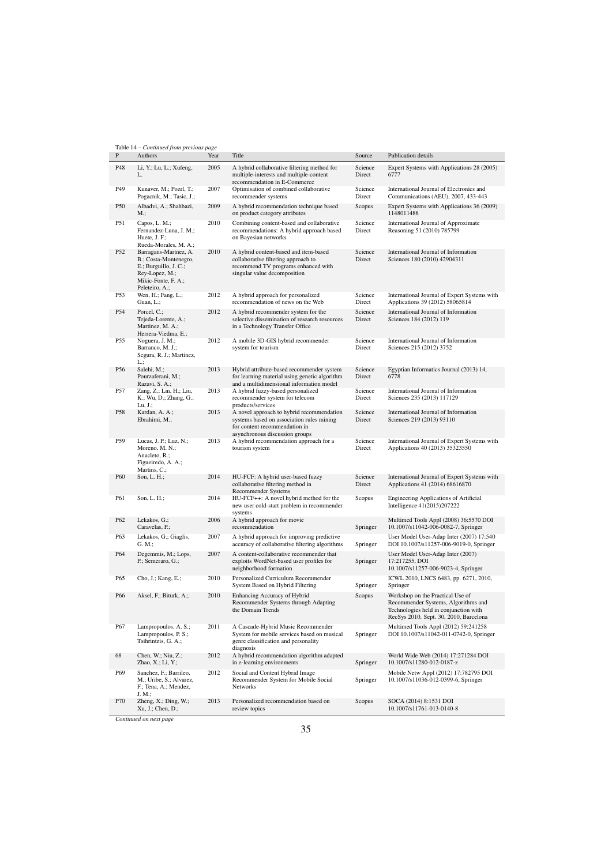|                 | Table 14 - Continued from previous page                                                                                            |      |                                                                                                                                                           |                   |                                                                                                                                                            |
|-----------------|------------------------------------------------------------------------------------------------------------------------------------|------|-----------------------------------------------------------------------------------------------------------------------------------------------------------|-------------------|------------------------------------------------------------------------------------------------------------------------------------------------------------|
| $\mathbf P$     | Authors                                                                                                                            | Year | Title                                                                                                                                                     | Source            | Publication details                                                                                                                                        |
| P48             | Li, Y.; Lu, L.; Xufeng,<br>L.                                                                                                      | 2005 | A hybrid collaborative filtering method for<br>multiple-interests and multiple-content<br>recommendation in E-Commerce                                    | Science<br>Direct | Expert Systems with Applications 28 (2005)<br>6777                                                                                                         |
| P49             | Kunaver, M.; Pozrl, T.;<br>Pogacnik, M.; Tasic, J.;                                                                                | 2007 | Optimisation of combined collaborative<br>recommender systems                                                                                             | Science<br>Direct | International Journal of Electronics and<br>Communications (AEU), 2007, 433-443                                                                            |
| P50             | Albadvi, A.; Shahbazi,<br>M.;                                                                                                      | 2009 | A hybrid recommendation technique based<br>on product category attributes                                                                                 | Scopus            | Expert Systems with Applications 36 (2009)<br>1148011488                                                                                                   |
| P51             | Capos, L. M.;<br>Fernandez-Luna, J. M.;<br>Huete, J. F.;<br>Rueda-Morales, M. A.;                                                  | 2010 | Combining content-based and collaborative<br>recommendations: A hybrid approach based<br>on Bayesian networks                                             | Science<br>Direct | International Journal of Approximate<br>Reasoning 51 (2010) 785799                                                                                         |
| P52             | Barragans-Martnez, A.<br>B.; Costa-Montenegro,<br>E.; Burguillo, J. C.;<br>Rey-Lopez, M.;<br>Mikic-Fonte, F. A.;<br>Peleteiro, A.; | 2010 | A hybrid content-based and item-based<br>collaborative filtering approach to<br>recommend TV programs enhanced with<br>singular value decomposition       | Science<br>Direct | International Journal of Information<br>Sciences 180 (2010) 42904311                                                                                       |
| P53             | Wen, H.; Fang, L.;<br>Guan, L.;                                                                                                    | 2012 | A hybrid approach for personalized<br>recommendation of news on the Web                                                                                   | Science<br>Direct | International Journal of Expert Systems with<br>Applications 39 (2012) 58065814                                                                            |
| P54             | Porcel, C.;<br>Tejeda-Lorente, A.;<br>Martinez, M. A.;<br>Herrera-Viedma, E.;                                                      | 2012 | A hybrid recommender system for the<br>selective dissemination of research resources<br>in a Technology Transfer Office                                   | Science<br>Direct | International Journal of Information<br>Sciences 184 (2012) 119                                                                                            |
| P55             | Noguera, J. M.;<br>Barranco, M. J.;<br>Segura, R. J.; Martinez,<br>L.;                                                             | 2012 | A mobile 3D-GIS hybrid recommender<br>system for tourism                                                                                                  | Science<br>Direct | International Journal of Information<br>Sciences 215 (2012) 3752                                                                                           |
| P56             | Salehi, M.;<br>Pourzaferani, M.;<br>Razavi, S. A.;                                                                                 | 2013 | Hybrid attribute-based recommender system<br>for learning material using genetic algorithm<br>and a multidimensional information model                    | Science<br>Direct | Egyptian Informatics Journal (2013) 14,<br>6778                                                                                                            |
| P57             | Zang, Z.; Lin, H.; Liu,<br>K.; Wu, D.; Zhang, G.;<br>Lu. J.:                                                                       | 2013 | A hybrid fuzzy-based personalized<br>recommender system for telecom<br>products/services                                                                  | Science<br>Direct | International Journal of Information<br>Sciences 235 (2013) 117129                                                                                         |
| P58             | Kardan, A. A.;<br>Ebrahimi, M.;                                                                                                    | 2013 | A novel approach to hybrid recommendation<br>systems based on association rules mining<br>for content recommendation in<br>asynchronous discussion groups | Science<br>Direct | International Journal of Information<br>Sciences 219 (2013) 93110                                                                                          |
| P59             | Lucas, J. P.; Luz, N.;<br>Moreno, M. N.;<br>Anacleto, R.;<br>Figueiredo, A. A.;<br>Martins, C.;                                    | 2013 | A hybrid recommendation approach for a<br>tourism system                                                                                                  | Science<br>Direct | International Journal of Expert Systems with<br>Applications 40 (2013) 35323550                                                                            |
| P60             | Son, L. H.;                                                                                                                        | 2014 | HU-FCF: A hybrid user-based fuzzy<br>collaborative filtering method in<br>Recommender Systems                                                             | Science<br>Direct | International Journal of Expert Systems with<br>Applications 41 (2014) 68616870                                                                            |
| P61             | Son, L. H.;                                                                                                                        | 2014 | HU-FCF++: A novel hybrid method for the<br>new user cold-start problem in recommender<br>systems                                                          | Scopus            | Engineering Applications of Artificial<br>Intelligence 41(2015)207222                                                                                      |
| P <sub>62</sub> | Lekakos, G.;<br>Caravelas, P.;                                                                                                     | 2006 | A hybrid approach for movie<br>recommendation                                                                                                             | Springer          | Multimed Tools Appl (2008) 36:5570 DOI<br>10.1007/s11042-006-0082-7, Springer                                                                              |
| P63             | Lekakos, G.; Giaglis,<br>G. M.;                                                                                                    | 2007 | A hybrid approach for improving predictive<br>accuracy of collaborative filtering algorithms                                                              | Springer          | User Model User-Adap Inter (2007) 17:540<br>DOI 10.1007/s11257-006-9019-0, Springer                                                                        |
| P64             | Degemmis, M.; Lops,<br>P.; Semeraro, G.;                                                                                           | 2007 | A content-collaborative recommender that<br>exploits WordNet-based user profiles for<br>neighborhood formation                                            | Springer          | User Model User-Adap Inter (2007)<br>17:217255, DOI<br>10.1007/s11257-006-9023-4, Springer                                                                 |
| P65             | Cho, J.; Kang, E.;                                                                                                                 | 2010 | Personalized Curriculum Recommender<br>System Based on Hybrid Filtering                                                                                   | Springer          | ICWL 2010, LNCS 6483, pp. 6271, 2010,<br>Springer                                                                                                          |
| P66             | Aksel, F.; Biturk, A.;                                                                                                             | 2010 | Enhancing Accuracy of Hybrid<br>Recommender Systems through Adapting<br>the Domain Trends                                                                 | Scopus            | Workshop on the Practical Use of<br>Recommender Systems, Algorithms and<br>Technologies held in conjunction with<br>RecSys 2010. Sept. 30, 2010, Barcelona |
| P67             | Lampropoulos, A. S.;<br>Lampropoulos, P. S.;<br>Tsihrintzis, G. A.;                                                                | 2011 | A Cascade-Hybrid Music Recommender<br>System for mobile services based on musical<br>genre classification and personality<br>diagnosis                    | Springer          | Multimed Tools Appl (2012) 59:241258<br>DOI 10.1007/s11042-011-0742-0, Springer                                                                            |
| 68              | Chen, W.; Niu, Z.;<br>Zhao, X.; Li, Y.;                                                                                            | 2012 | A hybrid recommendation algorithm adapted<br>in e-learning environments                                                                                   | Springer          | World Wide Web (2014) 17:271284 DOI<br>10.1007/s11280-012-0187-z                                                                                           |
| P69             | Sanchez, F.; Barrileo,<br>M.; Uribe, S.; Alvarez,<br>F.; Tena, A.; Mendez,<br>$J. M.$ ;                                            | 2012 | Social and Content Hybrid Image<br>Recommender System for Mobile Social<br>Networks                                                                       | Springer          | Mobile Netw Appl (2012) 17:782795 DOI<br>10.1007/s11036-012-0399-6, Springer                                                                               |
| P70             | Zheng, X.; Ding, W.;<br>Xu, J.; Chen, D.;                                                                                          | 2013 | Personalized recommendation based on<br>review topics                                                                                                     | Scopus            | SOCA (2014) 8:1531 DOI<br>10.1007/s11761-013-0140-8                                                                                                        |

*Continued on next page*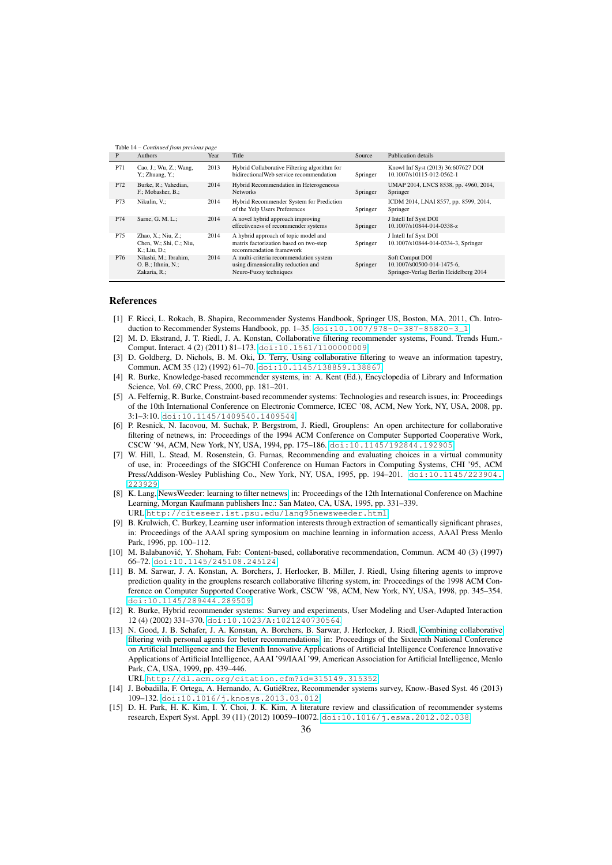| P   | <b>Authors</b>                                                 | Year | Title                                                                                                      | Source   | Publication details                                                                     |
|-----|----------------------------------------------------------------|------|------------------------------------------------------------------------------------------------------------|----------|-----------------------------------------------------------------------------------------|
| P71 | Cao, J.; Wu, Z.; Wang,<br>$Y$ .; Zhuang, $Y$ .;                | 2013 | Hybrid Collaborative Filtering algorithm for<br>bidirectionalWeb service recommendation                    | Springer | Knowl Inf Syst (2013) 36:607627 DOI<br>10.1007/s10115-012-0562-1                        |
| P72 | Burke, R.; Vahedian,<br>F.; Mobasher, B.;                      | 2014 | Hybrid Recommendation in Heterogeneous<br><b>Networks</b>                                                  | Springer | UMAP 2014, LNCS 8538, pp. 4960, 2014,<br>Springer                                       |
| P73 | Nikulin, V.:                                                   | 2014 | Hybrid Recommender System for Prediction<br>of the Yelp Users Preferences                                  | Springer | ICDM 2014, LNAI 8557, pp. 8599, 2014,<br>Springer                                       |
| P74 | Sarne, G. M. L.:                                               | 2014 | A novel hybrid approach improving<br>effectiveness of recommender systems                                  | Springer | J Intell Inf Syst DOI<br>10.1007/s10844-014-0338-z                                      |
| P75 | Zhao, X.; Niu, Z.;<br>Chen, W.; Shi, C.; Niu,<br>K.; Liu, D.;  | 2014 | A hybrid approach of topic model and<br>matrix factorization based on two-step<br>recommendation framework | Springer | J Intell Inf Syst DOI<br>10.1007/s10844-014-0334-3, Springer                            |
| P76 | Nilashi, M.; Ibrahim,<br>$O. B$ .; Ithnin, N.;<br>Zakaria, R.; | 2014 | A multi-criteria recommendation system<br>using dimensionality reduction and<br>Neuro-Fuzzy techniques     | Springer | Soft Comput DOI<br>10.1007/s00500-014-1475-6,<br>Springer-Verlag Berlin Heidelberg 2014 |

#### References

- [1] F. Ricci, L. Rokach, B. Shapira, Recommender Systems Handbook, Springer US, Boston, MA, 2011, Ch. Introduction to Recommender Systems Handbook, pp. 1–35. [doi:10.1007/978-0-387-85820-3\\_1](http://dx.doi.org/10.1007/978-0-387-85820-3_1).
- [2] M. D. Ekstrand, J. T. Riedl, J. A. Konstan, Collaborative filtering recommender systems, Found. Trends Hum.- Comput. Interact. 4 (2) (2011) 81–173. [doi:10.1561/1100000009](http://dx.doi.org/10.1561/1100000009).
- [3] D. Goldberg, D. Nichols, B. M. Oki, D. Terry, Using collaborative filtering to weave an information tapestry, Commun. ACM 35 (12) (1992) 61–70. [doi:10.1145/138859.138867](http://dx.doi.org/10.1145/138859.138867).
- [4] R. Burke, Knowledge-based recommender systems, in: A. Kent (Ed.), Encyclopedia of Library and Information Science, Vol. 69, CRC Press, 2000, pp. 181–201.
- [5] A. Felfernig, R. Burke, Constraint-based recommender systems: Technologies and research issues, in: Proceedings of the 10th International Conference on Electronic Commerce, ICEC '08, ACM, New York, NY, USA, 2008, pp. 3:1–3:10. [doi:10.1145/1409540.1409544](http://dx.doi.org/10.1145/1409540.1409544).
- [6] P. Resnick, N. Iacovou, M. Suchak, P. Bergstrom, J. Riedl, Grouplens: An open architecture for collaborative filtering of netnews, in: Proceedings of the 1994 ACM Conference on Computer Supported Cooperative Work, CSCW '94, ACM, New York, NY, USA, 1994, pp. 175–186. [doi:10.1145/192844.192905](http://dx.doi.org/10.1145/192844.192905).
- [7] W. Hill, L. Stead, M. Rosenstein, G. Furnas, Recommending and evaluating choices in a virtual community of use, in: Proceedings of the SIGCHI Conference on Human Factors in Computing Systems, CHI '95, ACM Press/Addison-Wesley Publishing Co., New York, NY, USA, 1995, pp. 194–201. [doi:10.1145/223904.](http://dx.doi.org/10.1145/223904.223929) [223929](http://dx.doi.org/10.1145/223904.223929).
- [8] K. Lang, [NewsWeeder: learning to filter netnews,](http://citeseer.ist.psu.edu/lang95newsweeder.html) in: Proceedings of the 12th International Conference on Machine Learning, Morgan Kaufmann publishers Inc.: San Mateo, CA, USA, 1995, pp. 331–339. URL <http://citeseer.ist.psu.edu/lang95newsweeder.html>
- [9] B. Krulwich, C. Burkey, Learning user information interests through extraction of semantically significant phrases, in: Proceedings of the AAAI spring symposium on machine learning in information access, AAAI Press Menlo Park, 1996, pp. 100–112.
- [10] M. Balabanovic, Y. Shoham, Fab: Content-based, collaborative recommendation, Commun. ACM 40 (3) (1997) ´ 66–72. [doi:10.1145/245108.245124](http://dx.doi.org/10.1145/245108.245124).
- [11] B. M. Sarwar, J. A. Konstan, A. Borchers, J. Herlocker, B. Miller, J. Riedl, Using filtering agents to improve prediction quality in the grouplens research collaborative filtering system, in: Proceedings of the 1998 ACM Conference on Computer Supported Cooperative Work, CSCW '98, ACM, New York, NY, USA, 1998, pp. 345–354. [doi:10.1145/289444.289509](http://dx.doi.org/10.1145/289444.289509).
- [12] R. Burke, Hybrid recommender systems: Survey and experiments, User Modeling and User-Adapted Interaction 12 (4) (2002) 331–370. [doi:10.1023/A:1021240730564](http://dx.doi.org/10.1023/A:1021240730564).
- [13] N. Good, J. B. Schafer, J. A. Konstan, A. Borchers, B. Sarwar, J. Herlocker, J. Riedl, [Combining collaborative](http://dl.acm.org/citation.cfm?id=315149.315352) [filtering with personal agents for better recommendations,](http://dl.acm.org/citation.cfm?id=315149.315352) in: Proceedings of the Sixteenth National Conference on Artificial Intelligence and the Eleventh Innovative Applications of Artificial Intelligence Conference Innovative Applications of Artificial Intelligence, AAAI '99/IAAI '99, American Association for Artificial Intelligence, Menlo Park, CA, USA, 1999, pp. 439–446.

URL <http://dl.acm.org/citation.cfm?id=315149.315352>

- [14] J. Bobadilla, F. Ortega, A. Hernando, A. GutieRrez, Recommender systems survey, Know.-Based Syst. 46 (2013) ´ 109–132. [doi:10.1016/j.knosys.2013.03.012](http://dx.doi.org/10.1016/j.knosys.2013.03.012).
- [15] D. H. Park, H. K. Kim, I. Y. Choi, J. K. Kim, A literature review and classification of recommender systems research, Expert Syst. Appl. 39 (11) (2012) 10059–10072. [doi:10.1016/j.eswa.2012.02.038](http://dx.doi.org/10.1016/j.eswa.2012.02.038).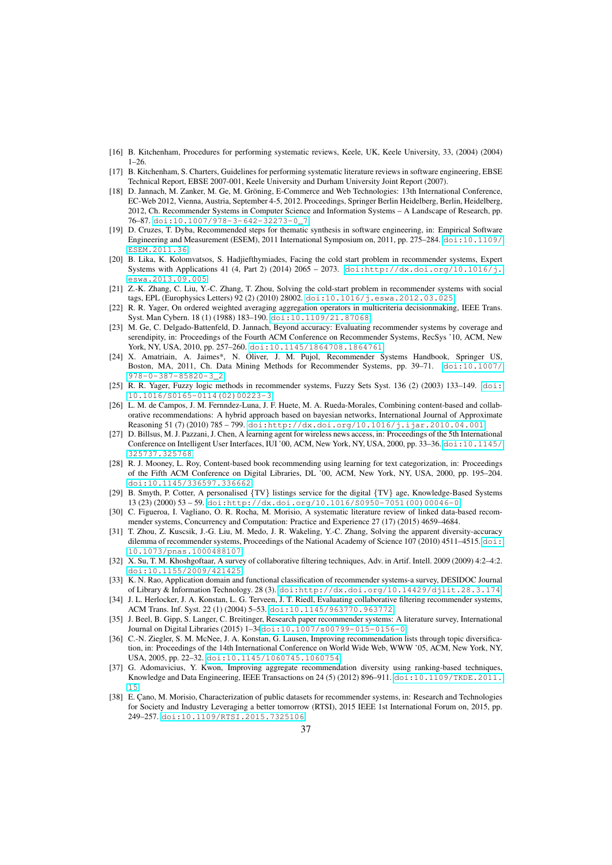- [16] B. Kitchenham, Procedures for performing systematic reviews, Keele, UK, Keele University, 33, (2004) (2004) 1–26.
- [17] B. Kitchenham, S. Charters, Guidelines for performing systematic literature reviews in software engineering, EBSE Technical Report, EBSE 2007-001, Keele University and Durham University Joint Report (2007).
- [18] D. Jannach, M. Zanker, M. Ge, M. Gröning, E-Commerce and Web Technologies: 13th International Conference, EC-Web 2012, Vienna, Austria, September 4-5, 2012. Proceedings, Springer Berlin Heidelberg, Berlin, Heidelberg, 2012, Ch. Recommender Systems in Computer Science and Information Systems – A Landscape of Research, pp. 76–87. [doi:10.1007/978-3-642-32273-0\\_7](http://dx.doi.org/10.1007/978-3-642-32273-0_7).
- [19] D. Cruzes, T. Dyba, Recommended steps for thematic synthesis in software engineering, in: Empirical Software Engineering and Measurement (ESEM), 2011 International Symposium on, 2011, pp. 275–284. [doi:10.1109/](http://dx.doi.org/10.1109/ESEM.2011.36) [ESEM.2011.36](http://dx.doi.org/10.1109/ESEM.2011.36).
- [20] B. Lika, K. Kolomvatsos, S. Hadjiefthymiades, Facing the cold start problem in recommender systems, Expert Systems with Applications 41 (4, Part 2) (2014) 2065 – 2073. [doi:http://dx.doi.org/10.1016/j.](http://dx.doi.org/http://dx.doi.org/10.1016/j.eswa.2013.09.005) [eswa.2013.09.005](http://dx.doi.org/http://dx.doi.org/10.1016/j.eswa.2013.09.005).
- [21] Z.-K. Zhang, C. Liu, Y.-C. Zhang, T. Zhou, Solving the cold-start problem in recommender systems with social tags, EPL (Europhysics Letters) 92 (2) (2010) 28002. [doi:10.1016/j.eswa.2012.03.025](http://dx.doi.org/10.1016/j.eswa.2012.03.025).
- [22] R. R. Yager, On ordered weighted averaging aggregation operators in multicriteria decisionmaking, IEEE Trans. Syst. Man Cybern. 18 (1) (1988) 183–190. [doi:10.1109/21.87068](http://dx.doi.org/10.1109/21.87068).
- [23] M. Ge, C. Delgado-Battenfeld, D. Jannach, Beyond accuracy: Evaluating recommender systems by coverage and serendipity, in: Proceedings of the Fourth ACM Conference on Recommender Systems, RecSys '10, ACM, New York, NY, USA, 2010, pp. 257–260. [doi:10.1145/1864708.1864761](http://dx.doi.org/10.1145/1864708.1864761).
- [24] X. Amatriain, A. Jaimes\*, N. Oliver, J. M. Pujol, Recommender Systems Handbook, Springer US, Boston, MA, 2011, Ch. Data Mining Methods for Recommender Systems, pp. 39–71. [doi:10.1007/](http://dx.doi.org/10.1007/978-0-387-85820-3_2) [978-0-387-85820-3\\_2](http://dx.doi.org/10.1007/978-0-387-85820-3_2).
- [25] R. R. Yager, Fuzzy logic methods in recommender systems, Fuzzy Sets Syst. 136 (2) (2003) 133–149. [doi:](http://dx.doi.org/10.1016/S0165-0114(02)00223-3) [10.1016/S0165-0114\(02\)00223-3](http://dx.doi.org/10.1016/S0165-0114(02)00223-3).
- [26] L. M. de Campos, J. M. Fernndez-Luna, J. F. Huete, M. A. Rueda-Morales, Combining content-based and collaborative recommendations: A hybrid approach based on bayesian networks, International Journal of Approximate Reasoning 51 (7) (2010) 785 – 799. [doi:http://dx.doi.org/10.1016/j.ijar.2010.04.001](http://dx.doi.org/http://dx.doi.org/10.1016/j.ijar.2010.04.001).
- [27] D. Billsus, M. J. Pazzani, J. Chen, A learning agent for wireless news access, in: Proceedings of the 5th International Conference on Intelligent User Interfaces, IUI '00, ACM, New York, NY, USA, 2000, pp. 33–36. [doi:10.1145/](http://dx.doi.org/10.1145/325737.325768) [325737.325768](http://dx.doi.org/10.1145/325737.325768).
- [28] R. J. Mooney, L. Roy, Content-based book recommending using learning for text categorization, in: Proceedings of the Fifth ACM Conference on Digital Libraries, DL '00, ACM, New York, NY, USA, 2000, pp. 195–204. [doi:10.1145/336597.336662](http://dx.doi.org/10.1145/336597.336662).
- [29] B. Smyth, P. Cotter, A personalised {TV} listings service for the digital {TV} age, Knowledge-Based Systems  $13 (23) (2000) 53 - 59.$  [doi:http://dx.doi.org/10.1016/S0950-7051\(00\)00046-0](http://dx.doi.org/http://dx.doi.org/10.1016/S0950-7051(00)00046-0).
- [30] C. Figueroa, I. Vagliano, O. R. Rocha, M. Morisio, A systematic literature review of linked data-based recommender systems, Concurrency and Computation: Practice and Experience 27 (17) (2015) 4659–4684.
- [31] T. Zhou, Z. Kuscsik, J.-G. Liu, M. Medo, J. R. Wakeling, Y.-C. Zhang, Solving the apparent diversity-accuracy dilemma of recommender systems, Proceedings of the National Academy of Science 107 (2010) 4511–4515. [doi:](http://dx.doi.org/10.1073/pnas.1000488107) [10.1073/pnas.1000488107](http://dx.doi.org/10.1073/pnas.1000488107).
- [32] X. Su, T. M. Khoshgoftaar, A survey of collaborative filtering techniques, Adv. in Artif. Intell. 2009 (2009) 4:2–4:2. [doi:10.1155/2009/421425](http://dx.doi.org/10.1155/2009/421425).
- [33] K. N. Rao, Application domain and functional classification of recommender systems-a survey, DESIDOC Journal of Library & Information Technology. 28 (3). [doi:http://dx.doi.org/10.14429/djlit.28.3.174](http://dx.doi.org/http://dx.doi.org/10.14429/djlit.28.3.174).
- [34] J. L. Herlocker, J. A. Konstan, L. G. Terveen, J. T. Riedl, Evaluating collaborative filtering recommender systems, ACM Trans. Inf. Syst. 22 (1) (2004) 5–53. [doi:10.1145/963770.963772](http://dx.doi.org/10.1145/963770.963772).
- [35] J. Beel, B. Gipp, S. Langer, C. Breitinger, Research paper recommender systems: A literature survey, International Journal on Digital Libraries (2015) 1–34[doi:10.1007/s00799-015-0156-0](http://dx.doi.org/10.1007/s00799-015-0156-0).
- [36] C.-N. Ziegler, S. M. McNee, J. A. Konstan, G. Lausen, Improving recommendation lists through topic diversification, in: Proceedings of the 14th International Conference on World Wide Web, WWW '05, ACM, New York, NY, USA, 2005, pp. 22–32. [doi:10.1145/1060745.1060754](http://dx.doi.org/10.1145/1060745.1060754).
- [37] G. Adomavicius, Y. Kwon, Improving aggregate recommendation diversity using ranking-based techniques, Knowledge and Data Engineering, IEEE Transactions on 24 (5) (2012) 896–911. [doi:10.1109/TKDE.2011.](http://dx.doi.org/10.1109/TKDE.2011.15) [15](http://dx.doi.org/10.1109/TKDE.2011.15).
- [38] E. Cano, M. Morisio, Characterization of public datasets for recommender systems, in: Research and Technologies for Society and Industry Leveraging a better tomorrow (RTSI), 2015 IEEE 1st International Forum on, 2015, pp. 249–257. [doi:10.1109/RTSI.2015.7325106](http://dx.doi.org/10.1109/RTSI.2015.7325106).